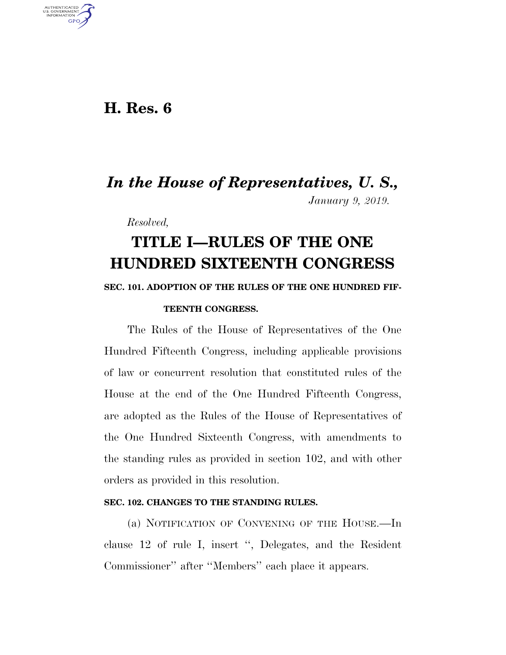### **H. Res. 6**

U.S. GOVERNMENT GPO

## *In the House of Representatives, U. S., January 9, 2019.*

*Resolved,* 

# **TITLE I—RULES OF THE ONE HUNDRED SIXTEENTH CONGRESS**

#### **SEC. 101. ADOPTION OF THE RULES OF THE ONE HUNDRED FIF-**

#### **TEENTH CONGRESS.**

The Rules of the House of Representatives of the One Hundred Fifteenth Congress, including applicable provisions of law or concurrent resolution that constituted rules of the House at the end of the One Hundred Fifteenth Congress, are adopted as the Rules of the House of Representatives of the One Hundred Sixteenth Congress, with amendments to the standing rules as provided in section 102, and with other orders as provided in this resolution.

#### **SEC. 102. CHANGES TO THE STANDING RULES.**

(a) NOTIFICATION OF CONVENING OF THE HOUSE.—In clause 12 of rule I, insert '', Delegates, and the Resident Commissioner'' after ''Members'' each place it appears.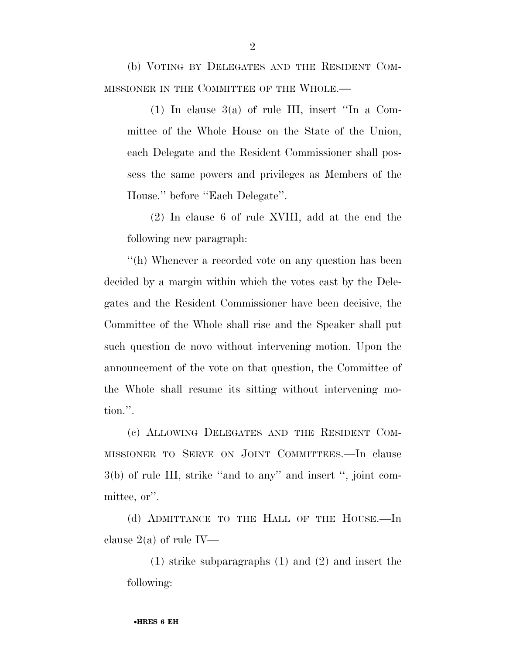(b) VOTING BY DELEGATES AND THE RESIDENT COM-MISSIONER IN THE COMMITTEE OF THE WHOLE.—

 $(1)$  In clause 3(a) of rule III, insert "In a Committee of the Whole House on the State of the Union, each Delegate and the Resident Commissioner shall possess the same powers and privileges as Members of the House.'' before ''Each Delegate''.

(2) In clause 6 of rule XVIII, add at the end the following new paragraph:

''(h) Whenever a recorded vote on any question has been decided by a margin within which the votes cast by the Delegates and the Resident Commissioner have been decisive, the Committee of the Whole shall rise and the Speaker shall put such question de novo without intervening motion. Upon the announcement of the vote on that question, the Committee of the Whole shall resume its sitting without intervening motion.''.

(c) ALLOWING DELEGATES AND THE RESIDENT COM-MISSIONER TO SERVE ON JOINT COMMITTEES.—In clause 3(b) of rule III, strike ''and to any'' and insert '', joint committee, or''.

(d) ADMITTANCE TO THE HALL OF THE HOUSE.—In clause  $2(a)$  of rule IV—

(1) strike subparagraphs (1) and (2) and insert the following: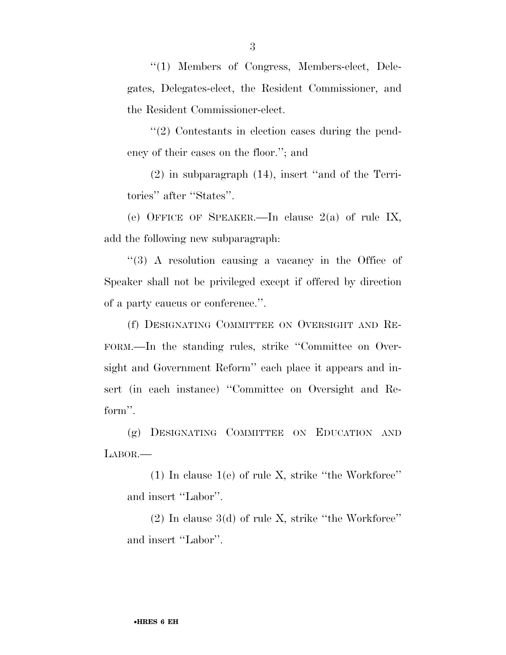''(1) Members of Congress, Members-elect, Delegates, Delegates-elect, the Resident Commissioner, and the Resident Commissioner-elect.

''(2) Contestants in election cases during the pendency of their cases on the floor.''; and

(2) in subparagraph (14), insert ''and of the Territories'' after ''States''.

(e) OFFICE OF SPEAKER.—In clause 2(a) of rule IX, add the following new subparagraph:

''(3) A resolution causing a vacancy in the Office of Speaker shall not be privileged except if offered by direction of a party caucus or conference.''.

(f) DESIGNATING COMMITTEE ON OVERSIGHT AND RE-FORM.—In the standing rules, strike ''Committee on Oversight and Government Reform'' each place it appears and insert (in each instance) ''Committee on Oversight and Reform''.

(g) DESIGNATING COMMITTEE ON EDUCATION AND LABOR.—

 $(1)$  In clause  $1(e)$  of rule X, strike "the Workforce" and insert ''Labor''.

 $(2)$  In clause 3(d) of rule X, strike "the Workforce" and insert ''Labor''.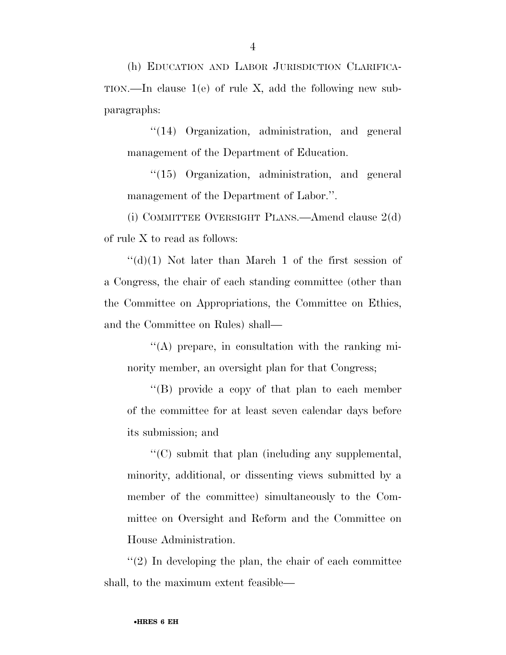(h) EDUCATION AND LABOR JURISDICTION CLARIFICA-TION.—In clause 1(e) of rule X, add the following new subparagraphs:

''(14) Organization, administration, and general management of the Department of Education.

''(15) Organization, administration, and general management of the Department of Labor.''.

(i) COMMITTEE OVERSIGHT PLANS.—Amend clause 2(d) of rule X to read as follows:

 $\lq\lq$ (d)(1) Not later than March 1 of the first session of a Congress, the chair of each standing committee (other than the Committee on Appropriations, the Committee on Ethics, and the Committee on Rules) shall—

''(A) prepare, in consultation with the ranking minority member, an oversight plan for that Congress;

''(B) provide a copy of that plan to each member of the committee for at least seven calendar days before its submission; and

''(C) submit that plan (including any supplemental, minority, additional, or dissenting views submitted by a member of the committee) simultaneously to the Committee on Oversight and Reform and the Committee on House Administration.

''(2) In developing the plan, the chair of each committee shall, to the maximum extent feasible—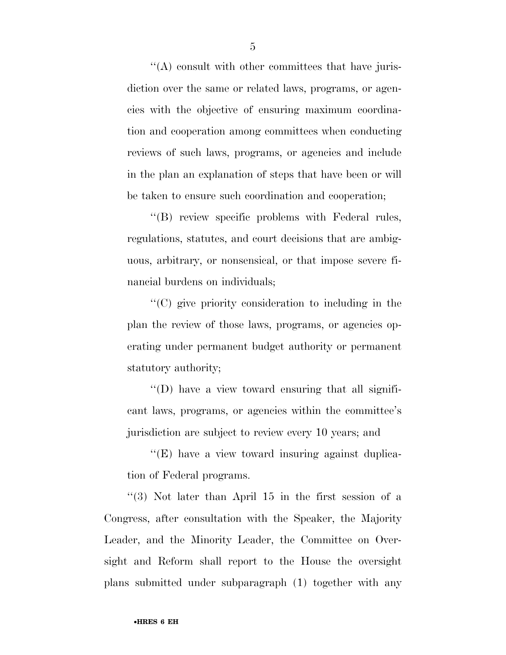''(A) consult with other committees that have jurisdiction over the same or related laws, programs, or agencies with the objective of ensuring maximum coordination and cooperation among committees when conducting reviews of such laws, programs, or agencies and include in the plan an explanation of steps that have been or will be taken to ensure such coordination and cooperation;

''(B) review specific problems with Federal rules, regulations, statutes, and court decisions that are ambiguous, arbitrary, or nonsensical, or that impose severe financial burdens on individuals;

''(C) give priority consideration to including in the plan the review of those laws, programs, or agencies operating under permanent budget authority or permanent statutory authority;

''(D) have a view toward ensuring that all significant laws, programs, or agencies within the committee's jurisdiction are subject to review every 10 years; and

''(E) have a view toward insuring against duplication of Federal programs.

''(3) Not later than April 15 in the first session of a Congress, after consultation with the Speaker, the Majority Leader, and the Minority Leader, the Committee on Oversight and Reform shall report to the House the oversight plans submitted under subparagraph (1) together with any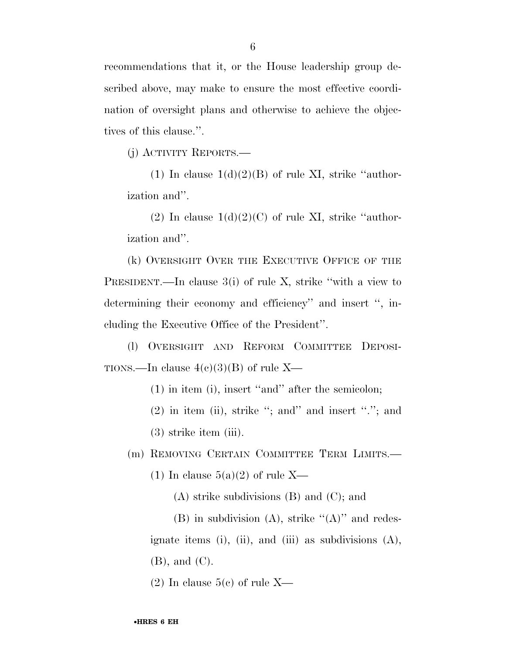recommendations that it, or the House leadership group described above, may make to ensure the most effective coordination of oversight plans and otherwise to achieve the objectives of this clause.''.

(j) ACTIVITY REPORTS.—

(1) In clause  $1(d)(2)(B)$  of rule XI, strike "authorization and''.

(2) In clause  $1(d)(2)(C)$  of rule XI, strike "authorization and''.

(k) OVERSIGHT OVER THE EXECUTIVE OFFICE OF THE PRESIDENT.—In clause 3(i) of rule X, strike ''with a view to determining their economy and efficiency'' and insert '', including the Executive Office of the President''.

(l) OVERSIGHT AND REFORM COMMITTEE DEPOSI-TIONS.—In clause  $4(c)(3)(B)$  of rule X—

(1) in item (i), insert ''and'' after the semicolon;

(2) in item (ii), strike ''; and'' and insert ''.''; and

(3) strike item (iii).

(m) REMOVING CERTAIN COMMITTEE TERM LIMITS.—

(1) In clause  $5(a)(2)$  of rule X—

(A) strike subdivisions (B) and (C); and

(B) in subdivision (A), strike  $\lq (A)$ " and redesignate items (i), (ii), and (iii) as subdivisions  $(A)$ , (B), and (C).

 $(2)$  In clause  $5(e)$  of rule X—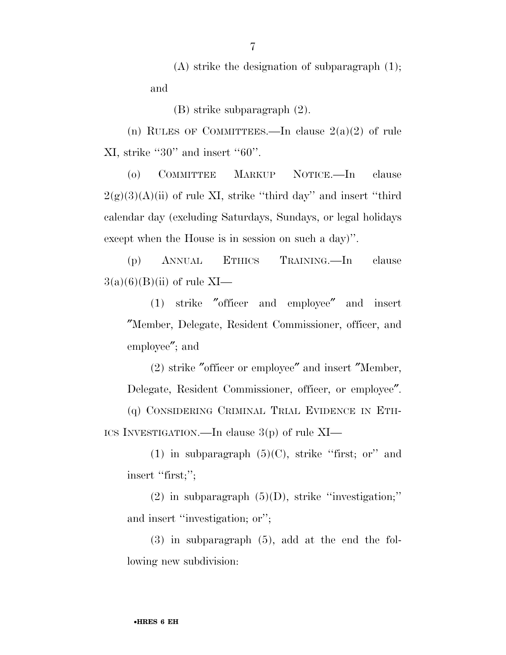(A) strike the designation of subparagraph (1); and

(B) strike subparagraph (2).

(n) RULES OF COMMITTEES.—In clause  $2(a)(2)$  of rule XI, strike ''30'' and insert ''60''.

(o) COMMITTEE MARKUP NOTICE.—In clause  $2(g)(3)(A)(ii)$  of rule XI, strike "third day" and insert "third" calendar day (excluding Saturdays, Sundays, or legal holidays except when the House is in session on such a day)''.

(p) ANNUAL ETHICS TRAINING.—In clause  $3(a)(6)(B)(ii)$  of rule XI—

(1) strike ″officer and employee″ and insert ″Member, Delegate, Resident Commissioner, officer, and employee″; and

(2) strike ″officer or employee″ and insert ″Member, Delegate, Resident Commissioner, officer, or employee″.

(q) CONSIDERING CRIMINAL TRIAL EVIDENCE IN ETH-ICS INVESTIGATION.—In clause 3(p) of rule XI—

(1) in subparagraph  $(5)(C)$ , strike "first; or" and insert "first;";

(2) in subparagraph  $(5)(D)$ , strike "investigation;" and insert "investigation; or";

(3) in subparagraph (5), add at the end the following new subdivision:

7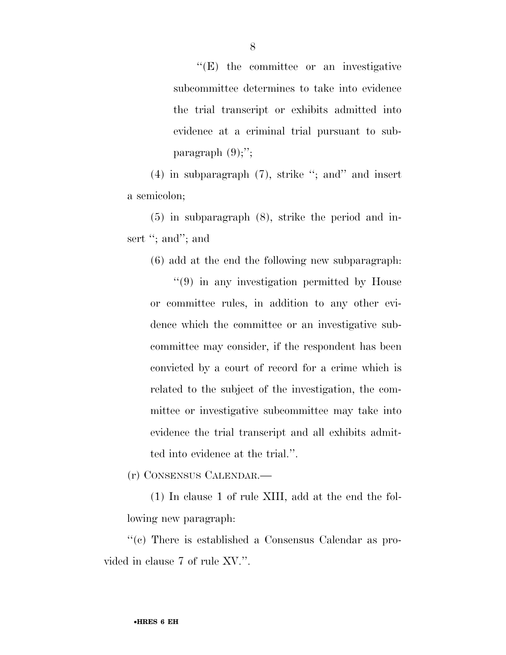''(E) the committee or an investigative subcommittee determines to take into evidence the trial transcript or exhibits admitted into evidence at a criminal trial pursuant to subparagraph  $(9)$ ;";

(4) in subparagraph (7), strike ''; and'' and insert a semicolon;

(5) in subparagraph (8), strike the period and insert "; and"; and

(6) add at the end the following new subparagraph:

''(9) in any investigation permitted by House or committee rules, in addition to any other evidence which the committee or an investigative subcommittee may consider, if the respondent has been convicted by a court of record for a crime which is related to the subject of the investigation, the committee or investigative subcommittee may take into evidence the trial transcript and all exhibits admitted into evidence at the trial.''.

(r) CONSENSUS CALENDAR.—

(1) In clause 1 of rule XIII, add at the end the following new paragraph:

''(c) There is established a Consensus Calendar as provided in clause 7 of rule XV.''.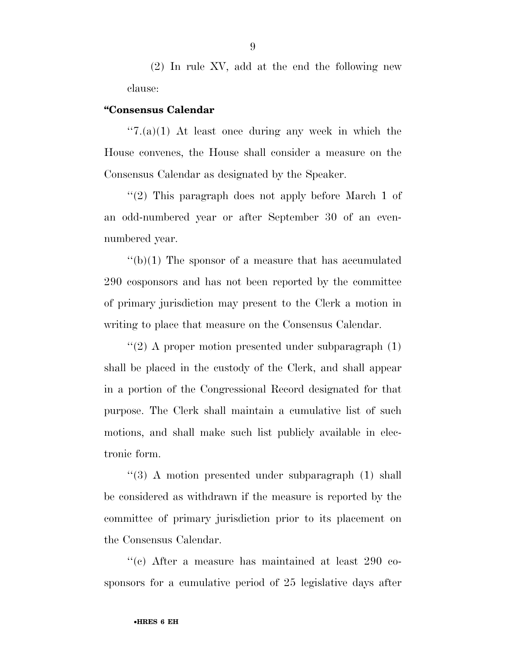(2) In rule XV, add at the end the following new clause:

#### **''Consensus Calendar**

 $\cdot$ ''7.(a)(1) At least once during any week in which the House convenes, the House shall consider a measure on the Consensus Calendar as designated by the Speaker.

''(2) This paragraph does not apply before March 1 of an odd-numbered year or after September 30 of an evennumbered year.

 $\binom{1}{b}(1)$  The sponsor of a measure that has accumulated 290 cosponsors and has not been reported by the committee of primary jurisdiction may present to the Clerk a motion in writing to place that measure on the Consensus Calendar.

 $\cdot$ (2) A proper motion presented under subparagraph (1) shall be placed in the custody of the Clerk, and shall appear in a portion of the Congressional Record designated for that purpose. The Clerk shall maintain a cumulative list of such motions, and shall make such list publicly available in electronic form.

''(3) A motion presented under subparagraph (1) shall be considered as withdrawn if the measure is reported by the committee of primary jurisdiction prior to its placement on the Consensus Calendar.

''(c) After a measure has maintained at least 290 cosponsors for a cumulative period of 25 legislative days after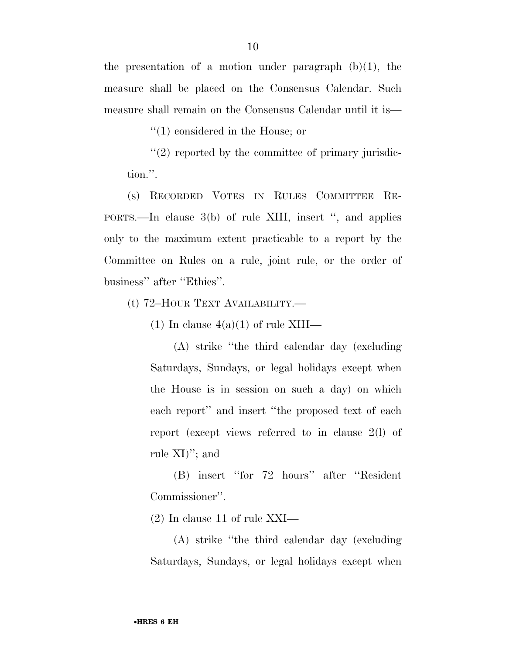the presentation of a motion under paragraph  $(b)(1)$ , the measure shall be placed on the Consensus Calendar. Such measure shall remain on the Consensus Calendar until it is—

''(1) considered in the House; or

 $''(2)$  reported by the committee of primary jurisdiction.''.

(s) RECORDED VOTES IN RULES COMMITTEE RE-PORTS.—In clause 3(b) of rule XIII, insert '', and applies only to the maximum extent practicable to a report by the Committee on Rules on a rule, joint rule, or the order of business'' after ''Ethics''.

(t) 72–HOUR TEXT AVAILABILITY.—

(1) In clause  $4(a)(1)$  of rule XIII—

(A) strike ''the third calendar day (excluding Saturdays, Sundays, or legal holidays except when the House is in session on such a day) on which each report'' and insert ''the proposed text of each report (except views referred to in clause 2(l) of rule XI)''; and

(B) insert ''for 72 hours'' after ''Resident Commissioner''.

(2) In clause 11 of rule XXI—

(A) strike ''the third calendar day (excluding Saturdays, Sundays, or legal holidays except when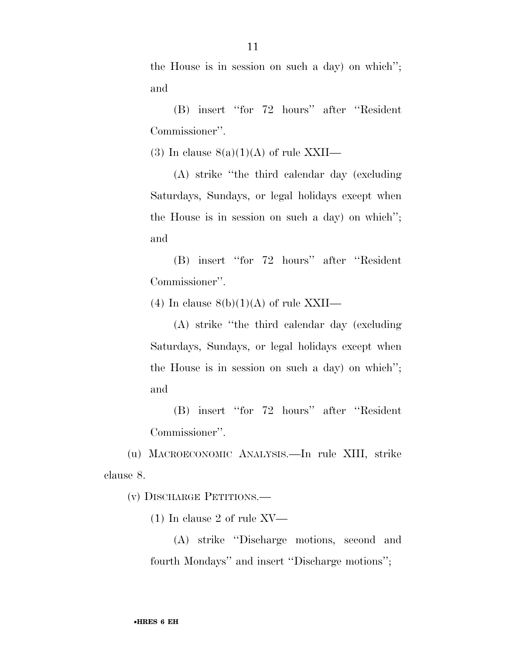the House is in session on such a day) on which''; and

(B) insert ''for 72 hours'' after ''Resident Commissioner''.

(3) In clause  $8(a)(1)(A)$  of rule XXII—

(A) strike ''the third calendar day (excluding Saturdays, Sundays, or legal holidays except when the House is in session on such a day) on which''; and

(B) insert ''for 72 hours'' after ''Resident Commissioner''.

(4) In clause  $8(b)(1)(A)$  of rule XXII—

(A) strike ''the third calendar day (excluding Saturdays, Sundays, or legal holidays except when the House is in session on such a day) on which''; and

(B) insert ''for 72 hours'' after ''Resident Commissioner''.

(u) MACROECONOMIC ANALYSIS.—In rule XIII, strike clause 8.

(v) DISCHARGE PETITIONS.—

(1) In clause 2 of rule XV—

(A) strike ''Discharge motions, second and fourth Mondays'' and insert ''Discharge motions'';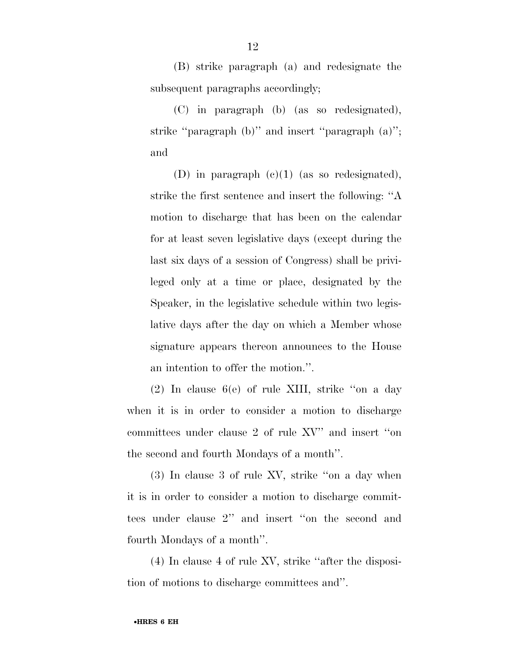(B) strike paragraph (a) and redesignate the subsequent paragraphs accordingly;

(C) in paragraph (b) (as so redesignated), strike ''paragraph (b)'' and insert ''paragraph (a)''; and

(D) in paragraph (c)(1) (as so redesignated), strike the first sentence and insert the following: ''A motion to discharge that has been on the calendar for at least seven legislative days (except during the last six days of a session of Congress) shall be privileged only at a time or place, designated by the Speaker, in the legislative schedule within two legislative days after the day on which a Member whose signature appears thereon announces to the House an intention to offer the motion.''.

(2) In clause 6(e) of rule XIII, strike ''on a day when it is in order to consider a motion to discharge committees under clause 2 of rule XV'' and insert ''on the second and fourth Mondays of a month''.

(3) In clause 3 of rule XV, strike ''on a day when it is in order to consider a motion to discharge committees under clause 2'' and insert ''on the second and fourth Mondays of a month''.

(4) In clause 4 of rule XV, strike ''after the disposition of motions to discharge committees and''.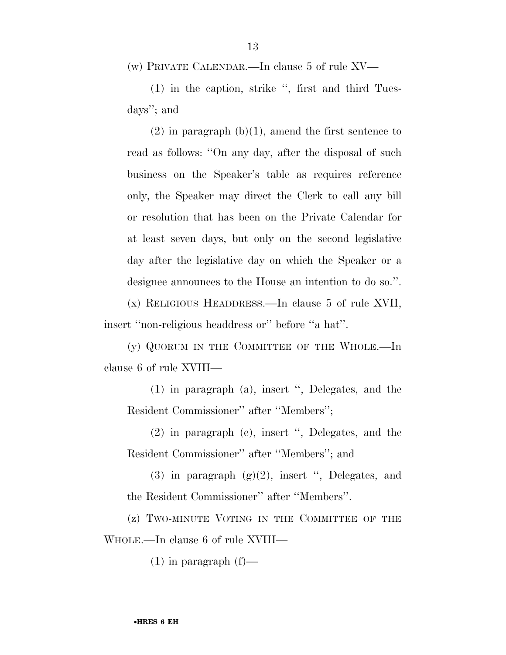(w) PRIVATE CALENDAR.—In clause 5 of rule XV—

(1) in the caption, strike '', first and third Tuesdays''; and

 $(2)$  in paragraph  $(b)(1)$ , amend the first sentence to read as follows: ''On any day, after the disposal of such business on the Speaker's table as requires reference only, the Speaker may direct the Clerk to call any bill or resolution that has been on the Private Calendar for at least seven days, but only on the second legislative day after the legislative day on which the Speaker or a designee announces to the House an intention to do so.''.

(x) RELIGIOUS HEADDRESS.—In clause 5 of rule XVII, insert ''non-religious headdress or'' before ''a hat''.

(y) QUORUM IN THE COMMITTEE OF THE WHOLE.—In clause 6 of rule XVIII—

(1) in paragraph (a), insert '', Delegates, and the Resident Commissioner'' after ''Members'';

(2) in paragraph (e), insert '', Delegates, and the Resident Commissioner'' after ''Members''; and

(3) in paragraph  $(g)(2)$ , insert ", Delegates, and the Resident Commissioner'' after ''Members''.

(z) TWO-MINUTE VOTING IN THE COMMITTEE OF THE WHOLE.—In clause 6 of rule XVIII—

 $(1)$  in paragraph  $(f)$ —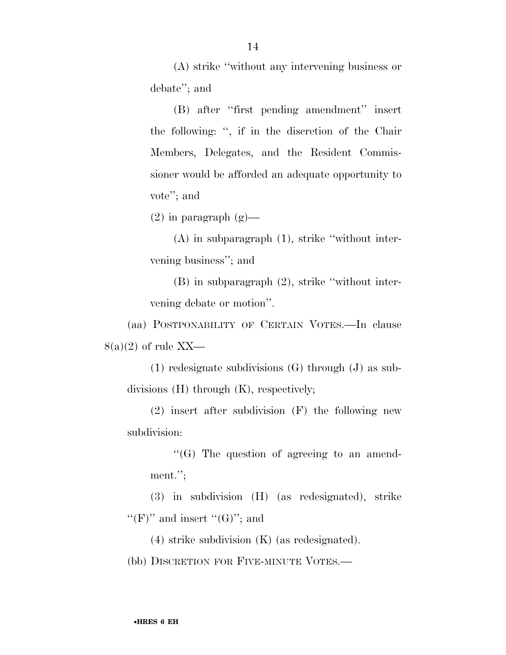(A) strike ''without any intervening business or debate''; and

(B) after ''first pending amendment'' insert the following: '', if in the discretion of the Chair Members, Delegates, and the Resident Commissioner would be afforded an adequate opportunity to vote''; and

 $(2)$  in paragraph  $(g)$ —

(A) in subparagraph (1), strike ''without intervening business''; and

(B) in subparagraph (2), strike ''without intervening debate or motion''.

(aa) POSTPONABILITY OF CERTAIN VOTES.—In clause  $8(a)(2)$  of rule XX—

(1) redesignate subdivisions (G) through (J) as subdivisions (H) through (K), respectively;

(2) insert after subdivision (F) the following new subdivision:

''(G) The question of agreeing to an amendment.'';

(3) in subdivision (H) (as redesignated), strike "(F)" and insert "(G)"; and

(4) strike subdivision (K) (as redesignated).

(bb) DISCRETION FOR FIVE-MINUTE VOTES.—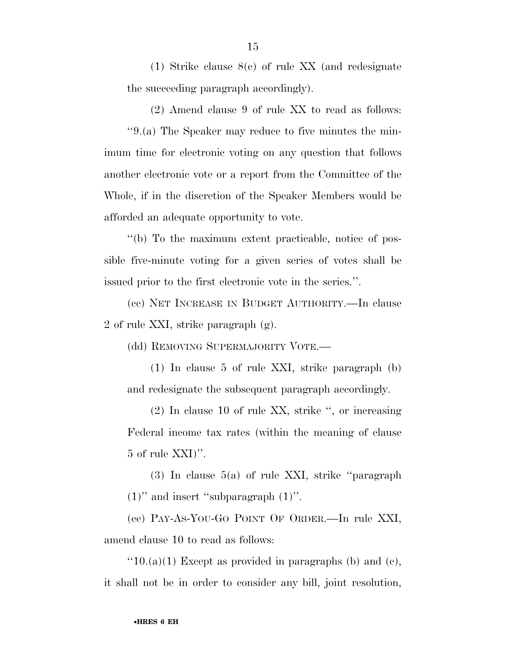(1) Strike clause 8(c) of rule XX (and redesignate the succeeding paragraph accordingly).

(2) Amend clause 9 of rule XX to read as follows: ''9.(a) The Speaker may reduce to five minutes the minimum time for electronic voting on any question that follows another electronic vote or a report from the Committee of the Whole, if in the discretion of the Speaker Members would be afforded an adequate opportunity to vote.

''(b) To the maximum extent practicable, notice of possible five-minute voting for a given series of votes shall be issued prior to the first electronic vote in the series.''.

(cc) NET INCREASE IN BUDGET AUTHORITY.—In clause 2 of rule XXI, strike paragraph (g).

(dd) REMOVING SUPERMAJORITY VOTE.—

(1) In clause 5 of rule XXI, strike paragraph (b) and redesignate the subsequent paragraph accordingly.

(2) In clause 10 of rule XX, strike '', or increasing Federal income tax rates (within the meaning of clause 5 of rule XXI)''.

(3) In clause 5(a) of rule XXI, strike ''paragraph  $(1)$ " and insert "subparagraph  $(1)$ ".

(ee) PAY-AS-YOU-GO POINT OF ORDER.—In rule XXI, amend clause 10 to read as follows:

 $"10.(a)(1)$  Except as provided in paragraphs (b) and (c), it shall not be in order to consider any bill, joint resolution,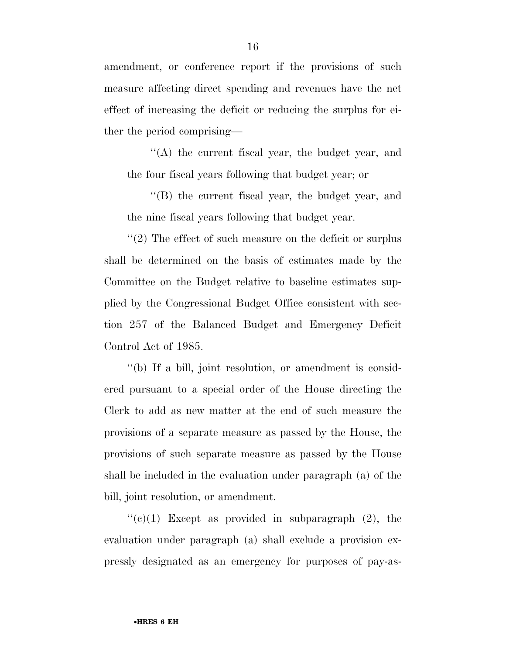amendment, or conference report if the provisions of such measure affecting direct spending and revenues have the net effect of increasing the deficit or reducing the surplus for either the period comprising—

''(A) the current fiscal year, the budget year, and the four fiscal years following that budget year; or

''(B) the current fiscal year, the budget year, and the nine fiscal years following that budget year.

''(2) The effect of such measure on the deficit or surplus shall be determined on the basis of estimates made by the Committee on the Budget relative to baseline estimates supplied by the Congressional Budget Office consistent with section 257 of the Balanced Budget and Emergency Deficit Control Act of 1985.

''(b) If a bill, joint resolution, or amendment is considered pursuant to a special order of the House directing the Clerk to add as new matter at the end of such measure the provisions of a separate measure as passed by the House, the provisions of such separate measure as passed by the House shall be included in the evaluation under paragraph (a) of the bill, joint resolution, or amendment.

 $\lq\lq$ (c)(1) Except as provided in subparagraph (2), the evaluation under paragraph (a) shall exclude a provision expressly designated as an emergency for purposes of pay-as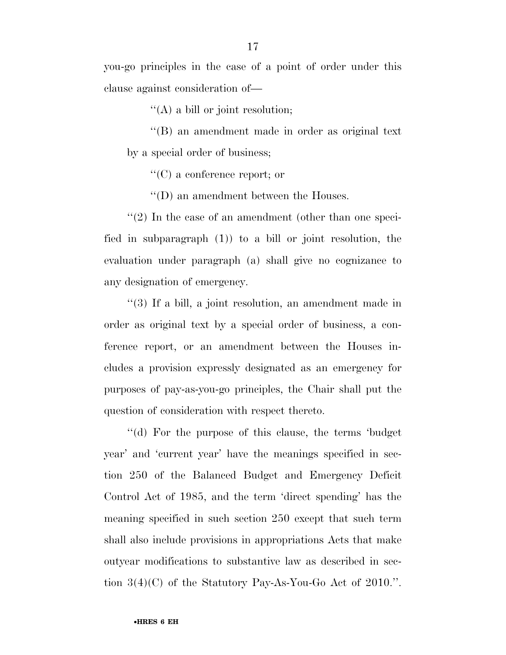you-go principles in the case of a point of order under this clause against consideration of—

''(A) a bill or joint resolution;

''(B) an amendment made in order as original text by a special order of business;

''(C) a conference report; or

''(D) an amendment between the Houses.

 $''(2)$  In the case of an amendment (other than one specified in subparagraph (1)) to a bill or joint resolution, the evaluation under paragraph (a) shall give no cognizance to any designation of emergency.

''(3) If a bill, a joint resolution, an amendment made in order as original text by a special order of business, a conference report, or an amendment between the Houses includes a provision expressly designated as an emergency for purposes of pay-as-you-go principles, the Chair shall put the question of consideration with respect thereto.

''(d) For the purpose of this clause, the terms 'budget year' and 'current year' have the meanings specified in section 250 of the Balanced Budget and Emergency Deficit Control Act of 1985, and the term 'direct spending' has the meaning specified in such section 250 except that such term shall also include provisions in appropriations Acts that make outyear modifications to substantive law as described in section 3(4)(C) of the Statutory Pay-As-You-Go Act of 2010.''.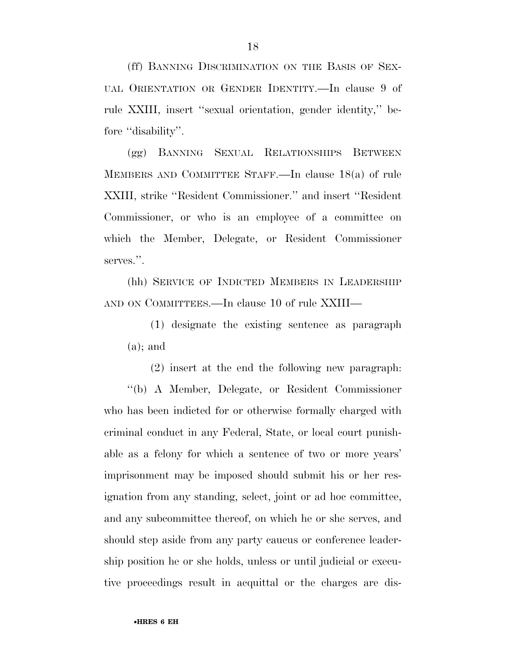(ff) BANNING DISCRIMINATION ON THE BASIS OF SEX-UAL ORIENTATION OR GENDER IDENTITY.—In clause 9 of rule XXIII, insert ''sexual orientation, gender identity,'' before "disability".

(gg) BANNING SEXUAL RELATIONSHIPS BETWEEN MEMBERS AND COMMITTEE STAFF.—In clause 18(a) of rule XXIII, strike ''Resident Commissioner.'' and insert ''Resident Commissioner, or who is an employee of a committee on which the Member, Delegate, or Resident Commissioner serves.''.

(hh) SERVICE OF INDICTED MEMBERS IN LEADERSHIP AND ON COMMITTEES.—In clause 10 of rule XXIII—

(1) designate the existing sentence as paragraph (a); and

(2) insert at the end the following new paragraph: ''(b) A Member, Delegate, or Resident Commissioner who has been indicted for or otherwise formally charged with criminal conduct in any Federal, State, or local court punishable as a felony for which a sentence of two or more years' imprisonment may be imposed should submit his or her resignation from any standing, select, joint or ad hoc committee, and any subcommittee thereof, on which he or she serves, and should step aside from any party caucus or conference leadership position he or she holds, unless or until judicial or executive proceedings result in acquittal or the charges are dis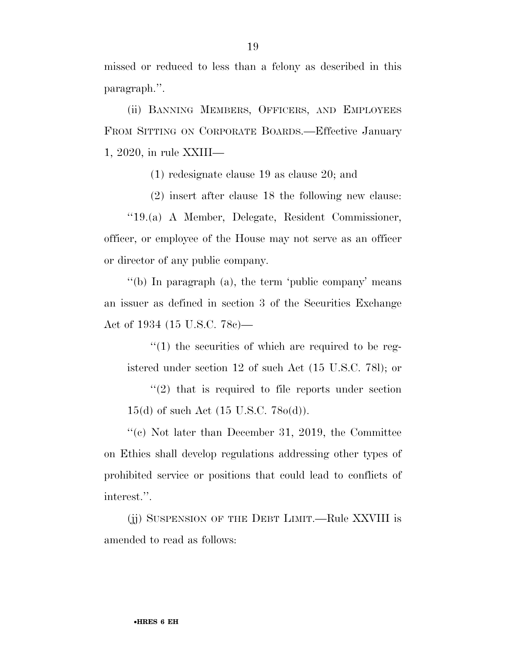missed or reduced to less than a felony as described in this paragraph.''.

(ii) BANNING MEMBERS, OFFICERS, AND EMPLOYEES FROM SITTING ON CORPORATE BOARDS.—Effective January 1, 2020, in rule XXIII—

(1) redesignate clause 19 as clause 20; and

(2) insert after clause 18 the following new clause:

''19.(a) A Member, Delegate, Resident Commissioner, officer, or employee of the House may not serve as an officer or director of any public company.

''(b) In paragraph (a), the term 'public company' means an issuer as defined in section 3 of the Securities Exchange Act of 1934 (15 U.S.C. 78c)—

 $''(1)$  the securities of which are required to be registered under section 12 of such Act (15 U.S.C. 78l); or

''(2) that is required to file reports under section 15(d) of such Act (15 U.S.C. 78o(d)).

''(c) Not later than December 31, 2019, the Committee on Ethics shall develop regulations addressing other types of prohibited service or positions that could lead to conflicts of interest.''.

(jj) SUSPENSION OF THE DEBT LIMIT.—Rule XXVIII is amended to read as follows: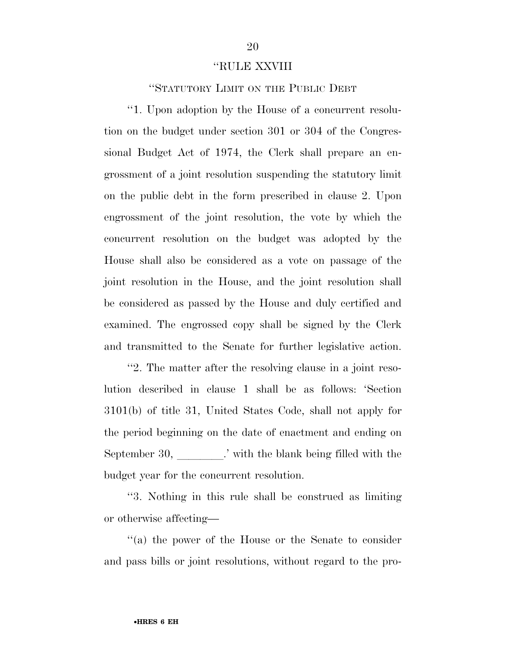#### ''RULE XXVIII

''STATUTORY LIMIT ON THE PUBLIC DEBT

''1. Upon adoption by the House of a concurrent resolution on the budget under section 301 or 304 of the Congressional Budget Act of 1974, the Clerk shall prepare an engrossment of a joint resolution suspending the statutory limit on the public debt in the form prescribed in clause 2. Upon engrossment of the joint resolution, the vote by which the concurrent resolution on the budget was adopted by the House shall also be considered as a vote on passage of the joint resolution in the House, and the joint resolution shall be considered as passed by the House and duly certified and examined. The engrossed copy shall be signed by the Clerk and transmitted to the Senate for further legislative action.

''2. The matter after the resolving clause in a joint resolution described in clause 1 shall be as follows: 'Section 3101(b) of title 31, United States Code, shall not apply for the period beginning on the date of enactment and ending on September 30, limits is vith the blank being filled with the budget year for the concurrent resolution.

''3. Nothing in this rule shall be construed as limiting or otherwise affecting—

''(a) the power of the House or the Senate to consider and pass bills or joint resolutions, without regard to the pro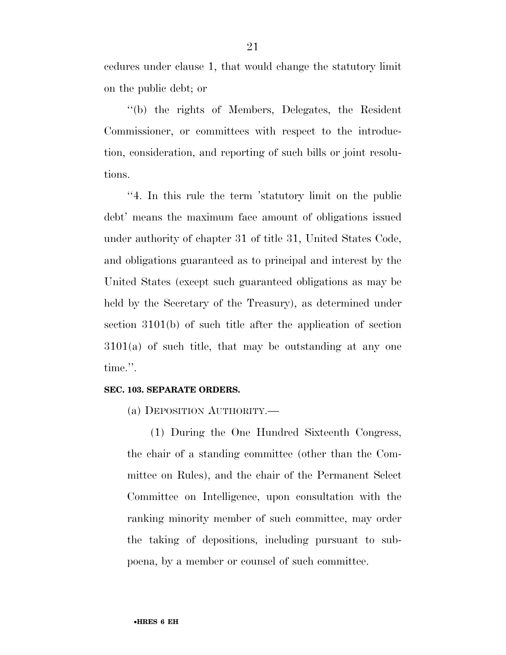cedures under clause 1, that would change the statutory limit on the public debt; or

''(b) the rights of Members, Delegates, the Resident Commissioner, or committees with respect to the introduction, consideration, and reporting of such bills or joint resolutions.

''4. In this rule the term 'statutory limit on the public debt' means the maximum face amount of obligations issued under authority of chapter 31 of title 31, United States Code, and obligations guaranteed as to principal and interest by the United States (except such guaranteed obligations as may be held by the Secretary of the Treasury), as determined under section 3101(b) of such title after the application of section 3101(a) of such title, that may be outstanding at any one time.''.

#### **SEC. 103. SEPARATE ORDERS.**

(a) DEPOSITION AUTHORITY.—

(1) During the One Hundred Sixteenth Congress, the chair of a standing committee (other than the Committee on Rules), and the chair of the Permanent Select Committee on Intelligence, upon consultation with the ranking minority member of such committee, may order the taking of depositions, including pursuant to subpoena, by a member or counsel of such committee.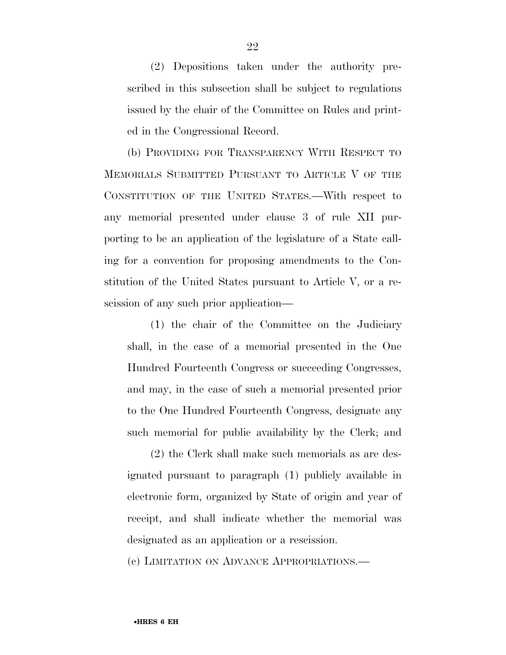(2) Depositions taken under the authority prescribed in this subsection shall be subject to regulations issued by the chair of the Committee on Rules and printed in the Congressional Record.

(b) PROVIDING FOR TRANSPARENCY WITH RESPECT TO MEMORIALS SUBMITTED PURSUANT TO ARTICLE V OF THE CONSTITUTION OF THE UNITED STATES.—With respect to any memorial presented under clause 3 of rule XII purporting to be an application of the legislature of a State calling for a convention for proposing amendments to the Constitution of the United States pursuant to Article V, or a rescission of any such prior application—

(1) the chair of the Committee on the Judiciary shall, in the case of a memorial presented in the One Hundred Fourteenth Congress or succeeding Congresses, and may, in the case of such a memorial presented prior to the One Hundred Fourteenth Congress, designate any such memorial for public availability by the Clerk; and

(2) the Clerk shall make such memorials as are designated pursuant to paragraph (1) publicly available in electronic form, organized by State of origin and year of receipt, and shall indicate whether the memorial was designated as an application or a rescission.

(c) LIMITATION ON ADVANCE APPROPRIATIONS.—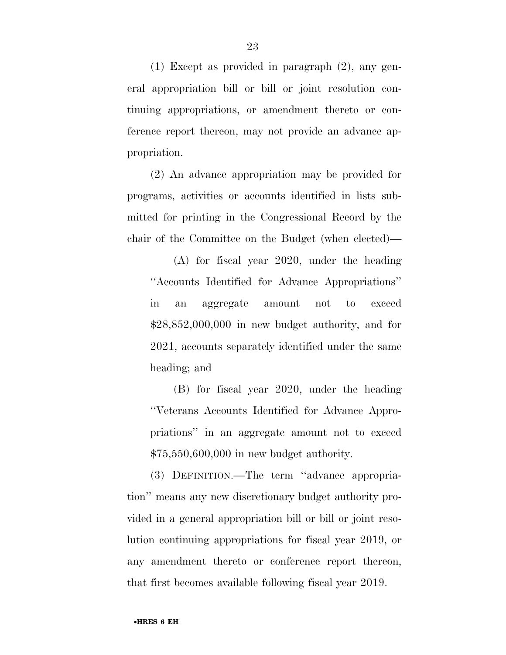(1) Except as provided in paragraph (2), any general appropriation bill or bill or joint resolution continuing appropriations, or amendment thereto or conference report thereon, may not provide an advance appropriation.

(2) An advance appropriation may be provided for programs, activities or accounts identified in lists submitted for printing in the Congressional Record by the chair of the Committee on the Budget (when elected)—

(A) for fiscal year 2020, under the heading ''Accounts Identified for Advance Appropriations'' in an aggregate amount not to exceed \$28,852,000,000 in new budget authority, and for 2021, accounts separately identified under the same heading; and

(B) for fiscal year 2020, under the heading ''Veterans Accounts Identified for Advance Appropriations'' in an aggregate amount not to exceed \$75,550,600,000 in new budget authority.

(3) DEFINITION.—The term ''advance appropriation'' means any new discretionary budget authority provided in a general appropriation bill or bill or joint resolution continuing appropriations for fiscal year 2019, or any amendment thereto or conference report thereon, that first becomes available following fiscal year 2019.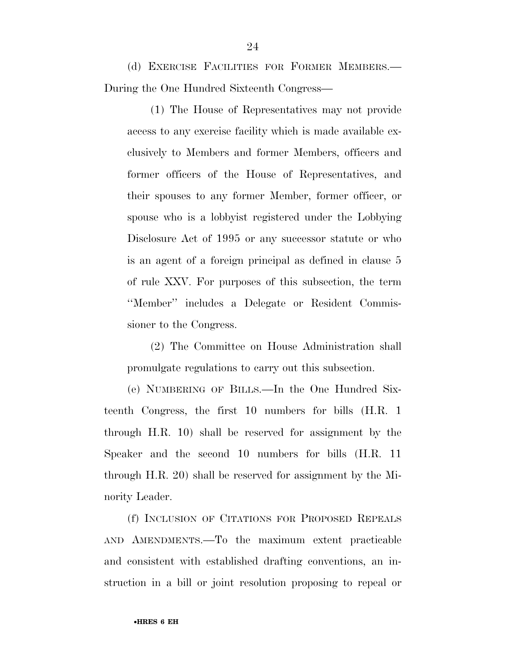(d) EXERCISE FACILITIES FOR FORMER MEMBERS.— During the One Hundred Sixteenth Congress—

(1) The House of Representatives may not provide access to any exercise facility which is made available exclusively to Members and former Members, officers and former officers of the House of Representatives, and their spouses to any former Member, former officer, or spouse who is a lobbyist registered under the Lobbying Disclosure Act of 1995 or any successor statute or who is an agent of a foreign principal as defined in clause 5 of rule XXV. For purposes of this subsection, the term ''Member'' includes a Delegate or Resident Commissioner to the Congress.

(2) The Committee on House Administration shall promulgate regulations to carry out this subsection.

(e) NUMBERING OF BILLS.—In the One Hundred Sixteenth Congress, the first 10 numbers for bills (H.R. 1 through H.R. 10) shall be reserved for assignment by the Speaker and the second 10 numbers for bills (H.R. 11 through H.R. 20) shall be reserved for assignment by the Minority Leader.

(f) INCLUSION OF CITATIONS FOR PROPOSED REPEALS AND AMENDMENTS.—To the maximum extent practicable and consistent with established drafting conventions, an instruction in a bill or joint resolution proposing to repeal or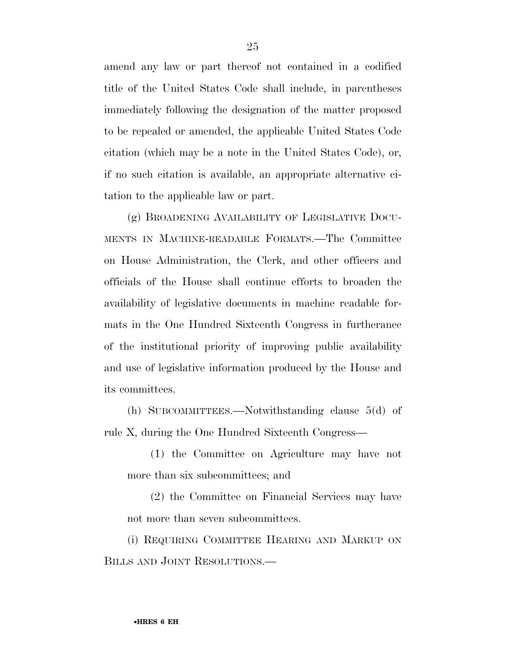amend any law or part thereof not contained in a codified title of the United States Code shall include, in parentheses immediately following the designation of the matter proposed to be repealed or amended, the applicable United States Code citation (which may be a note in the United States Code), or, if no such citation is available, an appropriate alternative citation to the applicable law or part.

(g) BROADENING AVAILABILITY OF LEGISLATIVE DOCU-MENTS IN MACHINE-READABLE FORMATS.—The Committee on House Administration, the Clerk, and other officers and officials of the House shall continue efforts to broaden the availability of legislative documents in machine readable formats in the One Hundred Sixteenth Congress in furtherance of the institutional priority of improving public availability and use of legislative information produced by the House and its committees.

(h) SUBCOMMITTEES.—Notwithstanding clause 5(d) of rule X, during the One Hundred Sixteenth Congress—

(1) the Committee on Agriculture may have not more than six subcommittees; and

(2) the Committee on Financial Services may have not more than seven subcommittees.

(i) REQUIRING COMMITTEE HEARING AND MARKUP ON BILLS AND JOINT RESOLUTIONS.—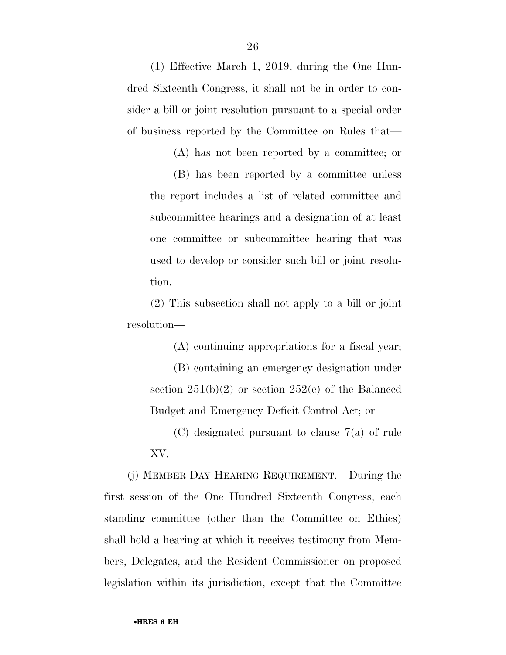(1) Effective March 1, 2019, during the One Hundred Sixteenth Congress, it shall not be in order to consider a bill or joint resolution pursuant to a special order of business reported by the Committee on Rules that—

(A) has not been reported by a committee; or

(B) has been reported by a committee unless the report includes a list of related committee and subcommittee hearings and a designation of at least one committee or subcommittee hearing that was used to develop or consider such bill or joint resolution.

(2) This subsection shall not apply to a bill or joint resolution—

(A) continuing appropriations for a fiscal year;

(B) containing an emergency designation under section  $251(b)(2)$  or section  $252(e)$  of the Balanced Budget and Emergency Deficit Control Act; or

(C) designated pursuant to clause 7(a) of rule XV.

(j) MEMBER DAY HEARING REQUIREMENT.—During the first session of the One Hundred Sixteenth Congress, each standing committee (other than the Committee on Ethics) shall hold a hearing at which it receives testimony from Members, Delegates, and the Resident Commissioner on proposed legislation within its jurisdiction, except that the Committee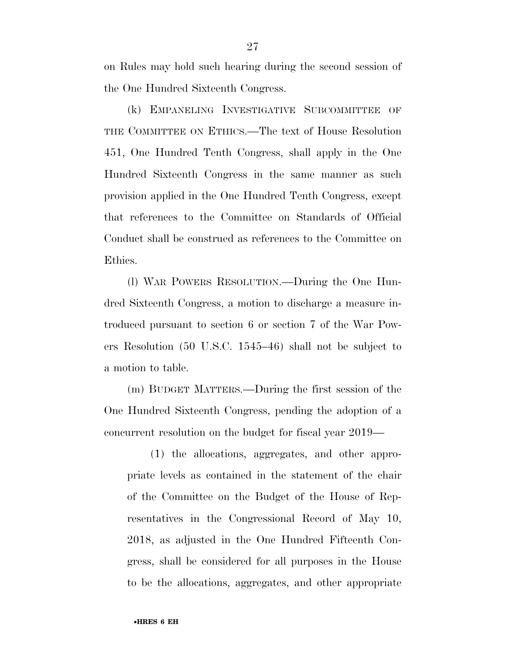on Rules may hold such hearing during the second session of the One Hundred Sixteenth Congress.

(k) EMPANELING INVESTIGATIVE SUBCOMMITTEE OF THE COMMITTEE ON ETHICS.—The text of House Resolution 451, One Hundred Tenth Congress, shall apply in the One Hundred Sixteenth Congress in the same manner as such provision applied in the One Hundred Tenth Congress, except that references to the Committee on Standards of Official Conduct shall be construed as references to the Committee on Ethics.

(l) WAR POWERS RESOLUTION.—During the One Hundred Sixteenth Congress, a motion to discharge a measure introduced pursuant to section 6 or section 7 of the War Powers Resolution (50 U.S.C. 1545–46) shall not be subject to a motion to table.

(m) BUDGET MATTERS.—During the first session of the One Hundred Sixteenth Congress, pending the adoption of a concurrent resolution on the budget for fiscal year 2019—

(1) the allocations, aggregates, and other appropriate levels as contained in the statement of the chair of the Committee on the Budget of the House of Representatives in the Congressional Record of May 10, 2018, as adjusted in the One Hundred Fifteenth Congress, shall be considered for all purposes in the House to be the allocations, aggregates, and other appropriate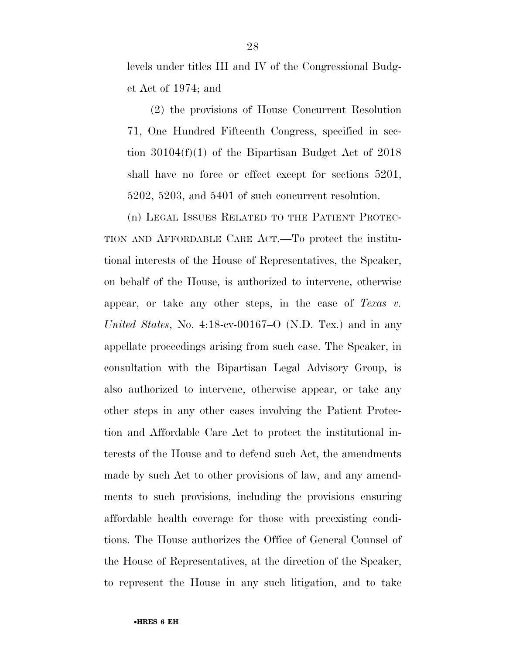levels under titles III and IV of the Congressional Budget Act of 1974; and

(2) the provisions of House Concurrent Resolution 71, One Hundred Fifteenth Congress, specified in section 30104(f)(1) of the Bipartisan Budget Act of 2018 shall have no force or effect except for sections 5201, 5202, 5203, and 5401 of such concurrent resolution.

(n) LEGAL ISSUES RELATED TO THE PATIENT PROTEC-TION AND AFFORDABLE CARE ACT.—To protect the institutional interests of the House of Representatives, the Speaker, on behalf of the House, is authorized to intervene, otherwise appear, or take any other steps, in the case of *Texas v. United States*, No. 4:18-cv-00167–O (N.D. Tex.) and in any appellate proceedings arising from such case. The Speaker, in consultation with the Bipartisan Legal Advisory Group, is also authorized to intervene, otherwise appear, or take any other steps in any other cases involving the Patient Protection and Affordable Care Act to protect the institutional interests of the House and to defend such Act, the amendments made by such Act to other provisions of law, and any amendments to such provisions, including the provisions ensuring affordable health coverage for those with preexisting conditions. The House authorizes the Office of General Counsel of the House of Representatives, at the direction of the Speaker, to represent the House in any such litigation, and to take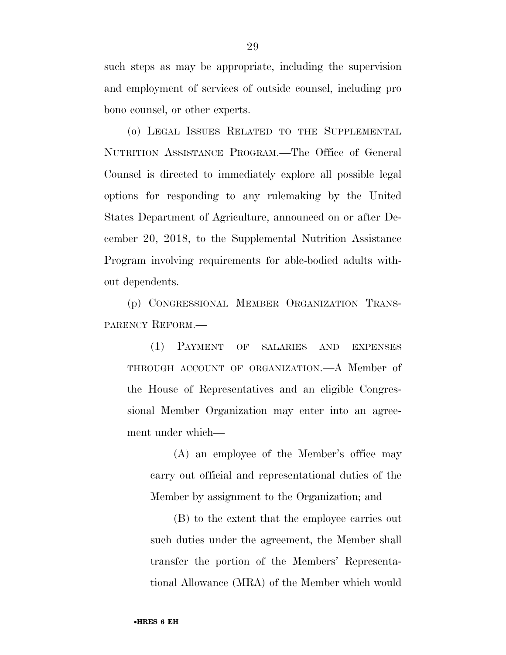such steps as may be appropriate, including the supervision and employment of services of outside counsel, including pro bono counsel, or other experts.

(o) LEGAL ISSUES RELATED TO THE SUPPLEMENTAL NUTRITION ASSISTANCE PROGRAM.—The Office of General Counsel is directed to immediately explore all possible legal options for responding to any rulemaking by the United States Department of Agriculture, announced on or after December 20, 2018, to the Supplemental Nutrition Assistance Program involving requirements for able-bodied adults without dependents.

(p) CONGRESSIONAL MEMBER ORGANIZATION TRANS-PARENCY REFORM.—

(1) PAYMENT OF SALARIES AND EXPENSES THROUGH ACCOUNT OF ORGANIZATION.—A Member of the House of Representatives and an eligible Congressional Member Organization may enter into an agreement under which—

(A) an employee of the Member's office may carry out official and representational duties of the Member by assignment to the Organization; and

(B) to the extent that the employee carries out such duties under the agreement, the Member shall transfer the portion of the Members' Representational Allowance (MRA) of the Member which would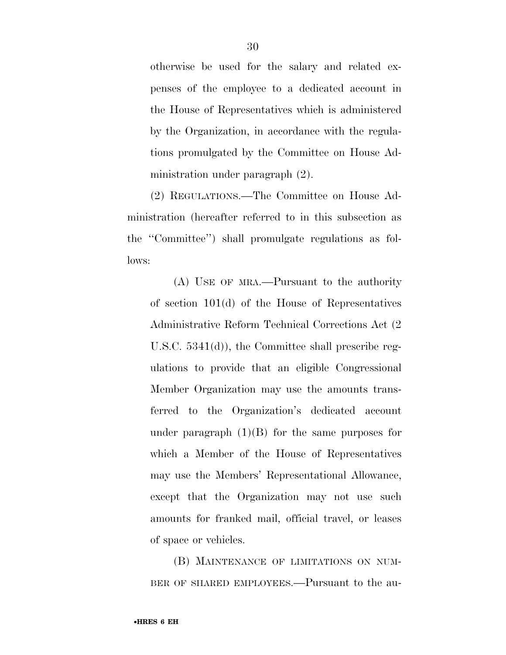otherwise be used for the salary and related expenses of the employee to a dedicated account in the House of Representatives which is administered by the Organization, in accordance with the regulations promulgated by the Committee on House Administration under paragraph (2).

(2) REGULATIONS.—The Committee on House Administration (hereafter referred to in this subsection as the ''Committee'') shall promulgate regulations as follows:

(A) USE OF MRA.—Pursuant to the authority of section 101(d) of the House of Representatives Administrative Reform Technical Corrections Act (2 U.S.C. 5341(d)), the Committee shall prescribe regulations to provide that an eligible Congressional Member Organization may use the amounts transferred to the Organization's dedicated account under paragraph  $(1)(B)$  for the same purposes for which a Member of the House of Representatives may use the Members' Representational Allowance, except that the Organization may not use such amounts for franked mail, official travel, or leases of space or vehicles.

(B) MAINTENANCE OF LIMITATIONS ON NUM-BER OF SHARED EMPLOYEES.—Pursuant to the au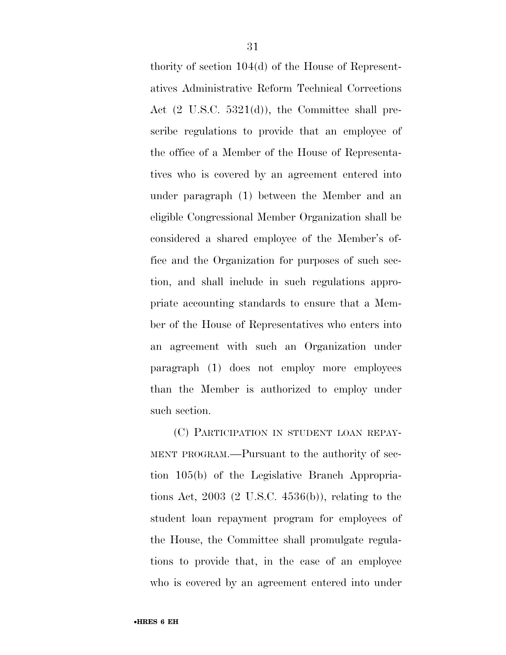thority of section 104(d) of the House of Representatives Administrative Reform Technical Corrections Act (2 U.S.C. 5321(d)), the Committee shall prescribe regulations to provide that an employee of the office of a Member of the House of Representatives who is covered by an agreement entered into under paragraph (1) between the Member and an eligible Congressional Member Organization shall be considered a shared employee of the Member's office and the Organization for purposes of such section, and shall include in such regulations appropriate accounting standards to ensure that a Member of the House of Representatives who enters into an agreement with such an Organization under paragraph (1) does not employ more employees than the Member is authorized to employ under such section.

(C) PARTICIPATION IN STUDENT LOAN REPAY-MENT PROGRAM.—Pursuant to the authority of section 105(b) of the Legislative Branch Appropriations Act, 2003 (2 U.S.C. 4536(b)), relating to the student loan repayment program for employees of the House, the Committee shall promulgate regulations to provide that, in the case of an employee who is covered by an agreement entered into under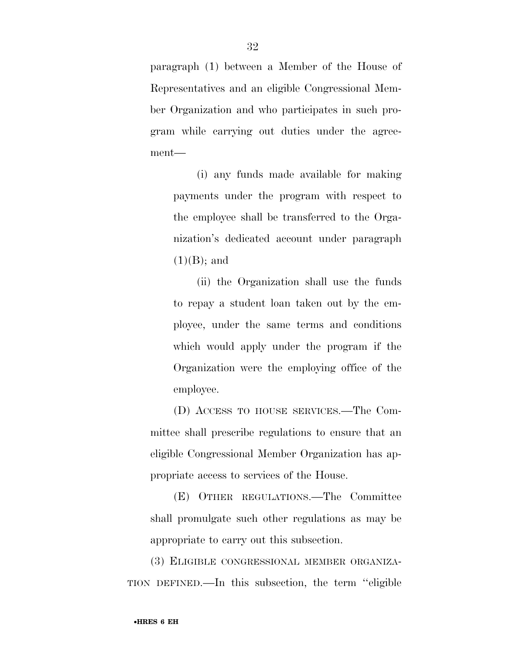paragraph (1) between a Member of the House of Representatives and an eligible Congressional Member Organization and who participates in such program while carrying out duties under the agreement—

(i) any funds made available for making payments under the program with respect to the employee shall be transferred to the Organization's dedicated account under paragraph  $(1)(B)$ ; and

(ii) the Organization shall use the funds to repay a student loan taken out by the employee, under the same terms and conditions which would apply under the program if the Organization were the employing office of the employee.

(D) ACCESS TO HOUSE SERVICES.—The Committee shall prescribe regulations to ensure that an eligible Congressional Member Organization has appropriate access to services of the House.

(E) OTHER REGULATIONS.—The Committee shall promulgate such other regulations as may be appropriate to carry out this subsection.

(3) ELIGIBLE CONGRESSIONAL MEMBER ORGANIZA-TION DEFINED.—In this subsection, the term ''eligible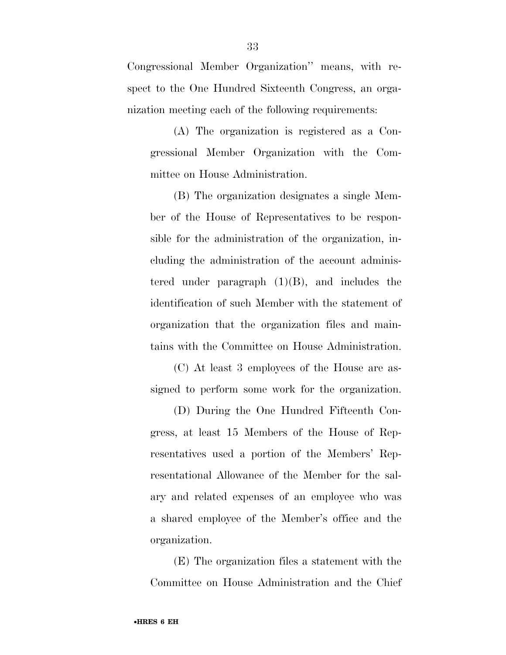Congressional Member Organization'' means, with respect to the One Hundred Sixteenth Congress, an organization meeting each of the following requirements:

(A) The organization is registered as a Congressional Member Organization with the Committee on House Administration.

(B) The organization designates a single Member of the House of Representatives to be responsible for the administration of the organization, including the administration of the account administered under paragraph  $(1)(B)$ , and includes the identification of such Member with the statement of organization that the organization files and maintains with the Committee on House Administration.

(C) At least 3 employees of the House are assigned to perform some work for the organization.

(D) During the One Hundred Fifteenth Congress, at least 15 Members of the House of Representatives used a portion of the Members' Representational Allowance of the Member for the salary and related expenses of an employee who was a shared employee of the Member's office and the organization.

(E) The organization files a statement with the Committee on House Administration and the Chief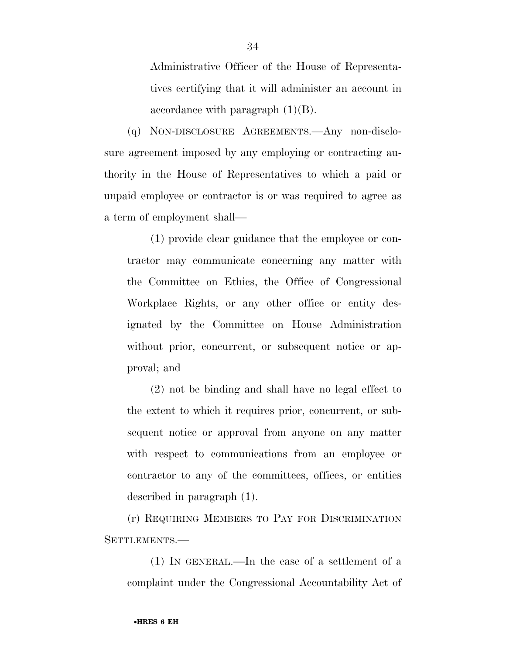Administrative Officer of the House of Representatives certifying that it will administer an account in accordance with paragraph  $(1)(B)$ .

(q) NON-DISCLOSURE AGREEMENTS.—Any non-disclosure agreement imposed by any employing or contracting authority in the House of Representatives to which a paid or unpaid employee or contractor is or was required to agree as a term of employment shall—

(1) provide clear guidance that the employee or contractor may communicate concerning any matter with the Committee on Ethics, the Office of Congressional Workplace Rights, or any other office or entity designated by the Committee on House Administration without prior, concurrent, or subsequent notice or approval; and

(2) not be binding and shall have no legal effect to the extent to which it requires prior, concurrent, or subsequent notice or approval from anyone on any matter with respect to communications from an employee or contractor to any of the committees, offices, or entities described in paragraph (1).

(r) REQUIRING MEMBERS TO PAY FOR DISCRIMINATION SETTLEMENTS.—

(1) IN GENERAL.—In the case of a settlement of a complaint under the Congressional Accountability Act of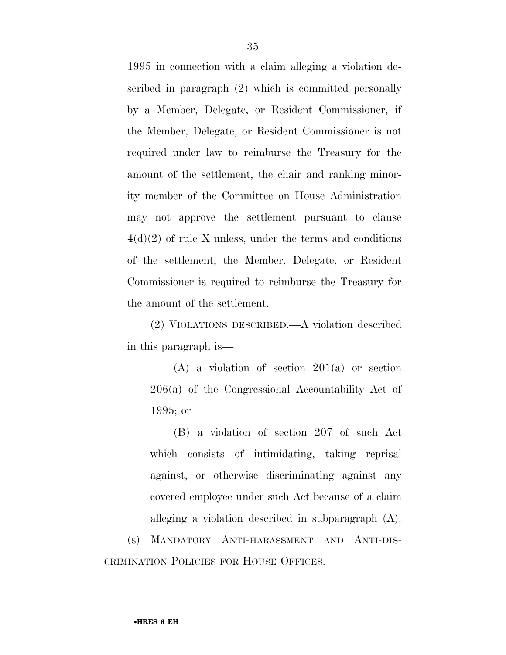1995 in connection with a claim alleging a violation described in paragraph (2) which is committed personally by a Member, Delegate, or Resident Commissioner, if the Member, Delegate, or Resident Commissioner is not required under law to reimburse the Treasury for the amount of the settlement, the chair and ranking minority member of the Committee on House Administration may not approve the settlement pursuant to clause  $4(d)(2)$  of rule X unless, under the terms and conditions of the settlement, the Member, Delegate, or Resident Commissioner is required to reimburse the Treasury for the amount of the settlement.

(2) VIOLATIONS DESCRIBED.—A violation described in this paragraph is—

(A) a violation of section 201(a) or section 206(a) of the Congressional Accountability Act of 1995; or

(B) a violation of section 207 of such Act which consists of intimidating, taking reprisal against, or otherwise discriminating against any covered employee under such Act because of a claim alleging a violation described in subparagraph (A).

(s) MANDATORY ANTI-HARASSMENT AND ANTI-DIS-CRIMINATION POLICIES FOR HOUSE OFFICES.—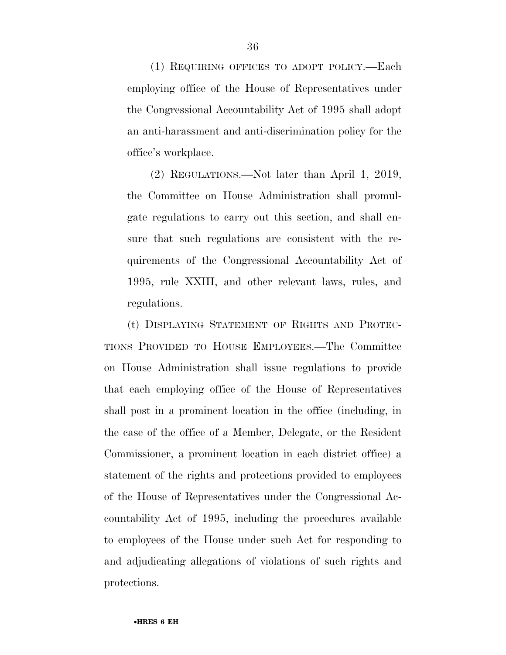(1) REQUIRING OFFICES TO ADOPT POLICY.—Each employing office of the House of Representatives under the Congressional Accountability Act of 1995 shall adopt an anti-harassment and anti-discrimination policy for the office's workplace.

(2) REGULATIONS.—Not later than April 1, 2019, the Committee on House Administration shall promulgate regulations to carry out this section, and shall ensure that such regulations are consistent with the requirements of the Congressional Accountability Act of 1995, rule XXIII, and other relevant laws, rules, and regulations.

(t) DISPLAYING STATEMENT OF RIGHTS AND PROTEC-TIONS PROVIDED TO HOUSE EMPLOYEES.—The Committee on House Administration shall issue regulations to provide that each employing office of the House of Representatives shall post in a prominent location in the office (including, in the case of the office of a Member, Delegate, or the Resident Commissioner, a prominent location in each district office) a statement of the rights and protections provided to employees of the House of Representatives under the Congressional Accountability Act of 1995, including the procedures available to employees of the House under such Act for responding to and adjudicating allegations of violations of such rights and protections.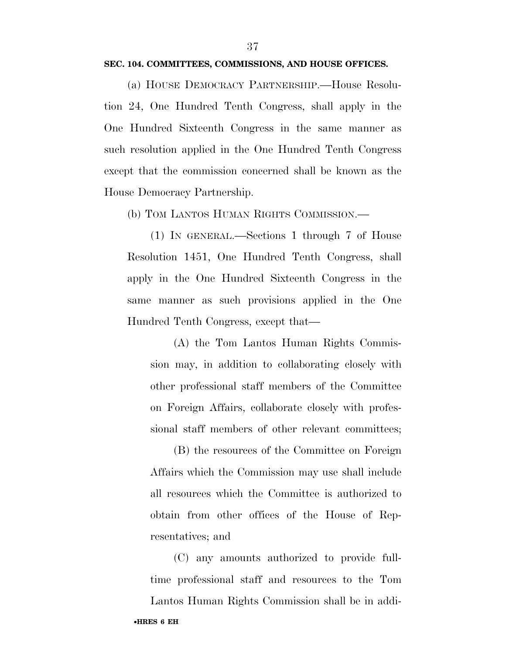#### **SEC. 104. COMMITTEES, COMMISSIONS, AND HOUSE OFFICES.**

(a) HOUSE DEMOCRACY PARTNERSHIP.—House Resolution 24, One Hundred Tenth Congress, shall apply in the One Hundred Sixteenth Congress in the same manner as such resolution applied in the One Hundred Tenth Congress except that the commission concerned shall be known as the House Democracy Partnership.

(b) TOM LANTOS HUMAN RIGHTS COMMISSION.—

(1) IN GENERAL.—Sections 1 through 7 of House Resolution 1451, One Hundred Tenth Congress, shall apply in the One Hundred Sixteenth Congress in the same manner as such provisions applied in the One Hundred Tenth Congress, except that—

(A) the Tom Lantos Human Rights Commission may, in addition to collaborating closely with other professional staff members of the Committee on Foreign Affairs, collaborate closely with professional staff members of other relevant committees;

(B) the resources of the Committee on Foreign Affairs which the Commission may use shall include all resources which the Committee is authorized to obtain from other offices of the House of Representatives; and

(C) any amounts authorized to provide fulltime professional staff and resources to the Tom

•**HRES 6 EH**  Lantos Human Rights Commission shall be in addi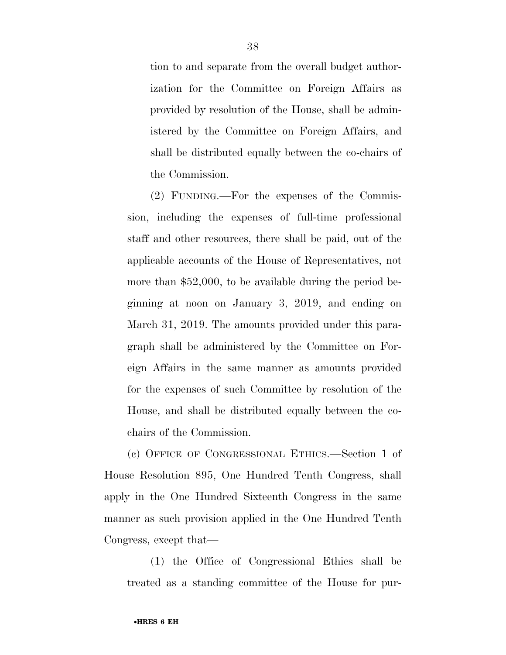tion to and separate from the overall budget authorization for the Committee on Foreign Affairs as provided by resolution of the House, shall be administered by the Committee on Foreign Affairs, and shall be distributed equally between the co-chairs of the Commission.

(2) FUNDING.—For the expenses of the Commission, including the expenses of full-time professional staff and other resources, there shall be paid, out of the applicable accounts of the House of Representatives, not more than \$52,000, to be available during the period beginning at noon on January 3, 2019, and ending on March 31, 2019. The amounts provided under this paragraph shall be administered by the Committee on Foreign Affairs in the same manner as amounts provided for the expenses of such Committee by resolution of the House, and shall be distributed equally between the cochairs of the Commission.

(c) OFFICE OF CONGRESSIONAL ETHICS.—Section 1 of House Resolution 895, One Hundred Tenth Congress, shall apply in the One Hundred Sixteenth Congress in the same manner as such provision applied in the One Hundred Tenth Congress, except that—

(1) the Office of Congressional Ethics shall be treated as a standing committee of the House for pur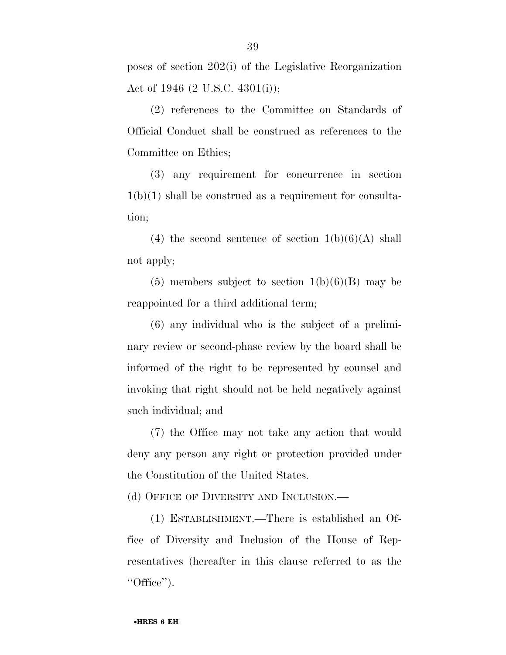poses of section 202(i) of the Legislative Reorganization Act of 1946 (2 U.S.C. 4301(i));

(2) references to the Committee on Standards of Official Conduct shall be construed as references to the Committee on Ethics;

(3) any requirement for concurrence in section  $1(b)(1)$  shall be construed as a requirement for consultation;

(4) the second sentence of section  $1(b)(6)(A)$  shall not apply;

 $(5)$  members subject to section  $1(b)(6)(B)$  may be reappointed for a third additional term;

(6) any individual who is the subject of a preliminary review or second-phase review by the board shall be informed of the right to be represented by counsel and invoking that right should not be held negatively against such individual; and

(7) the Office may not take any action that would deny any person any right or protection provided under the Constitution of the United States.

(d) OFFICE OF DIVERSITY AND INCLUSION.—

(1) ESTABLISHMENT.—There is established an Office of Diversity and Inclusion of the House of Representatives (hereafter in this clause referred to as the  $"Office"$ ).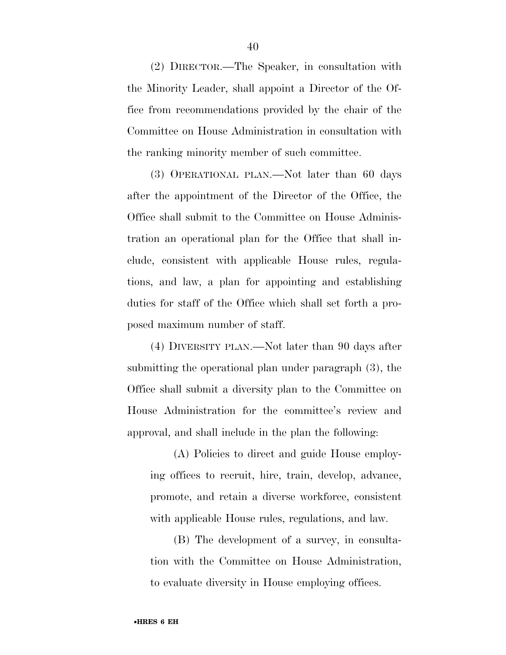(2) DIRECTOR.—The Speaker, in consultation with the Minority Leader, shall appoint a Director of the Office from recommendations provided by the chair of the Committee on House Administration in consultation with the ranking minority member of such committee.

(3) OPERATIONAL PLAN.—Not later than 60 days after the appointment of the Director of the Office, the Office shall submit to the Committee on House Administration an operational plan for the Office that shall include, consistent with applicable House rules, regulations, and law, a plan for appointing and establishing duties for staff of the Office which shall set forth a proposed maximum number of staff.

(4) DIVERSITY PLAN.—Not later than 90 days after submitting the operational plan under paragraph (3), the Office shall submit a diversity plan to the Committee on House Administration for the committee's review and approval, and shall include in the plan the following:

(A) Policies to direct and guide House employing offices to recruit, hire, train, develop, advance, promote, and retain a diverse workforce, consistent with applicable House rules, regulations, and law.

(B) The development of a survey, in consultation with the Committee on House Administration, to evaluate diversity in House employing offices.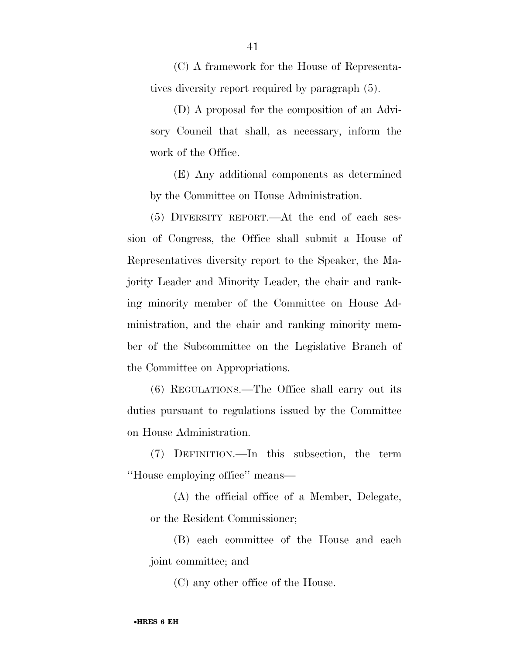(C) A framework for the House of Representatives diversity report required by paragraph (5).

(D) A proposal for the composition of an Advisory Council that shall, as necessary, inform the work of the Office.

(E) Any additional components as determined by the Committee on House Administration.

(5) DIVERSITY REPORT.—At the end of each session of Congress, the Office shall submit a House of Representatives diversity report to the Speaker, the Majority Leader and Minority Leader, the chair and ranking minority member of the Committee on House Administration, and the chair and ranking minority member of the Subcommittee on the Legislative Branch of the Committee on Appropriations.

(6) REGULATIONS.—The Office shall carry out its duties pursuant to regulations issued by the Committee on House Administration.

(7) DEFINITION.—In this subsection, the term ''House employing office'' means—

(A) the official office of a Member, Delegate, or the Resident Commissioner;

(B) each committee of the House and each joint committee; and

(C) any other office of the House.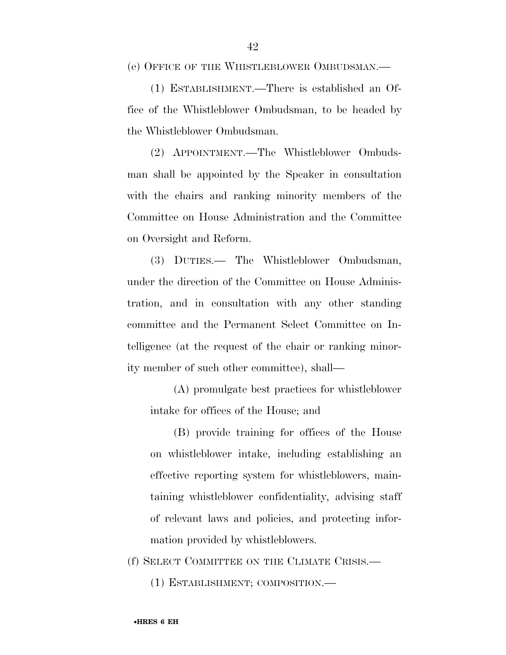(e) OFFICE OF THE WHISTLEBLOWER OMBUDSMAN.—

(1) ESTABLISHMENT.—There is established an Office of the Whistleblower Ombudsman, to be headed by the Whistleblower Ombudsman.

(2) APPOINTMENT.—The Whistleblower Ombudsman shall be appointed by the Speaker in consultation with the chairs and ranking minority members of the Committee on House Administration and the Committee on Oversight and Reform.

(3) DUTIES.— The Whistleblower Ombudsman, under the direction of the Committee on House Administration, and in consultation with any other standing committee and the Permanent Select Committee on Intelligence (at the request of the chair or ranking minority member of such other committee), shall—

(A) promulgate best practices for whistleblower intake for offices of the House; and

(B) provide training for offices of the House on whistleblower intake, including establishing an effective reporting system for whistleblowers, maintaining whistleblower confidentiality, advising staff of relevant laws and policies, and protecting information provided by whistleblowers.

(f) SELECT COMMITTEE ON THE CLIMATE CRISIS.—

(1) ESTABLISHMENT; COMPOSITION.—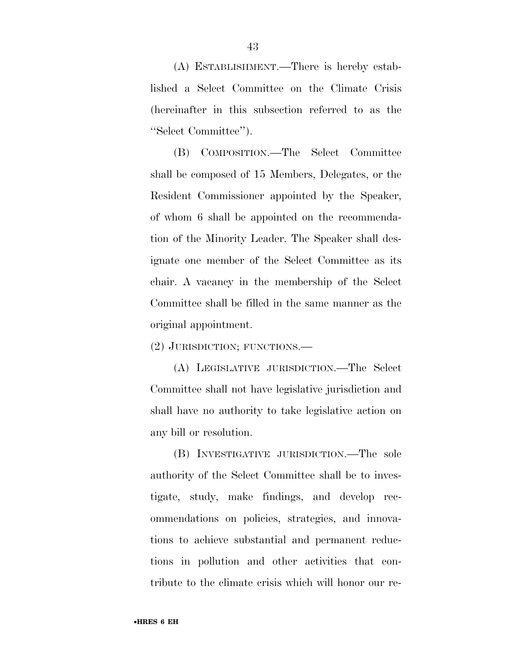(A) ESTABLISHMENT.—There is hereby established a Select Committee on the Climate Crisis (hereinafter in this subsection referred to as the ''Select Committee'').

(B) COMPOSITION.—The Select Committee shall be composed of 15 Members, Delegates, or the Resident Commissioner appointed by the Speaker, of whom 6 shall be appointed on the recommendation of the Minority Leader. The Speaker shall designate one member of the Select Committee as its chair. A vacancy in the membership of the Select Committee shall be filled in the same manner as the original appointment.

(2) JURISDICTION; FUNCTIONS.—

(A) LEGISLATIVE JURISDICTION.—The Select Committee shall not have legislative jurisdiction and shall have no authority to take legislative action on any bill or resolution.

(B) INVESTIGATIVE JURISDICTION.—The sole authority of the Select Committee shall be to investigate, study, make findings, and develop recommendations on policies, strategies, and innovations to achieve substantial and permanent reductions in pollution and other activities that contribute to the climate crisis which will honor our re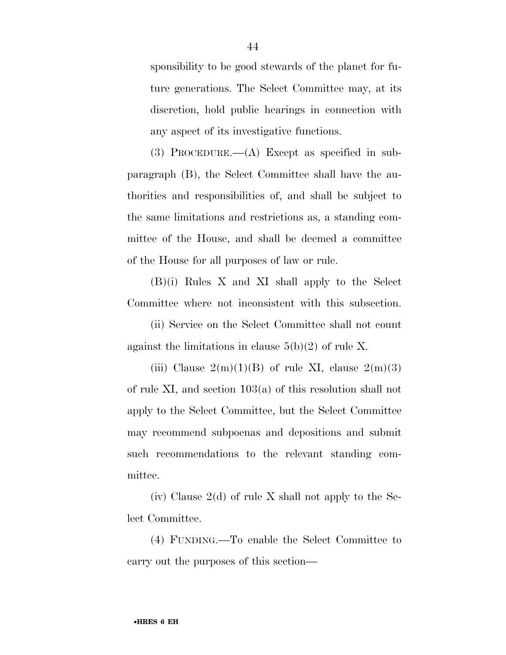sponsibility to be good stewards of the planet for future generations. The Select Committee may, at its discretion, hold public hearings in connection with any aspect of its investigative functions.

(3) PROCEDURE.—(A) Except as specified in subparagraph (B), the Select Committee shall have the authorities and responsibilities of, and shall be subject to the same limitations and restrictions as, a standing committee of the House, and shall be deemed a committee of the House for all purposes of law or rule.

(B)(i) Rules X and XI shall apply to the Select Committee where not inconsistent with this subsection.

(ii) Service on the Select Committee shall not count against the limitations in clause  $5(b)(2)$  of rule X.

(iii) Clause  $2(m)(1)(B)$  of rule XI, clause  $2(m)(3)$ of rule XI, and section 103(a) of this resolution shall not apply to the Select Committee, but the Select Committee may recommend subpoenas and depositions and submit such recommendations to the relevant standing committee.

(iv) Clause  $2(d)$  of rule X shall not apply to the Select Committee.

(4) FUNDING.—To enable the Select Committee to carry out the purposes of this section—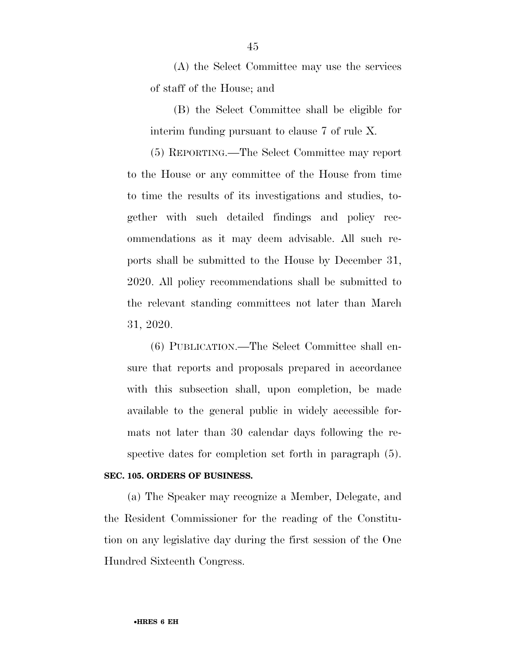(A) the Select Committee may use the services of staff of the House; and

(B) the Select Committee shall be eligible for interim funding pursuant to clause 7 of rule X.

(5) REPORTING.—The Select Committee may report to the House or any committee of the House from time to time the results of its investigations and studies, together with such detailed findings and policy recommendations as it may deem advisable. All such reports shall be submitted to the House by December 31, 2020. All policy recommendations shall be submitted to the relevant standing committees not later than March 31, 2020.

(6) PUBLICATION.—The Select Committee shall ensure that reports and proposals prepared in accordance with this subsection shall, upon completion, be made available to the general public in widely accessible formats not later than 30 calendar days following the respective dates for completion set forth in paragraph (5).

#### **SEC. 105. ORDERS OF BUSINESS.**

(a) The Speaker may recognize a Member, Delegate, and the Resident Commissioner for the reading of the Constitution on any legislative day during the first session of the One Hundred Sixteenth Congress.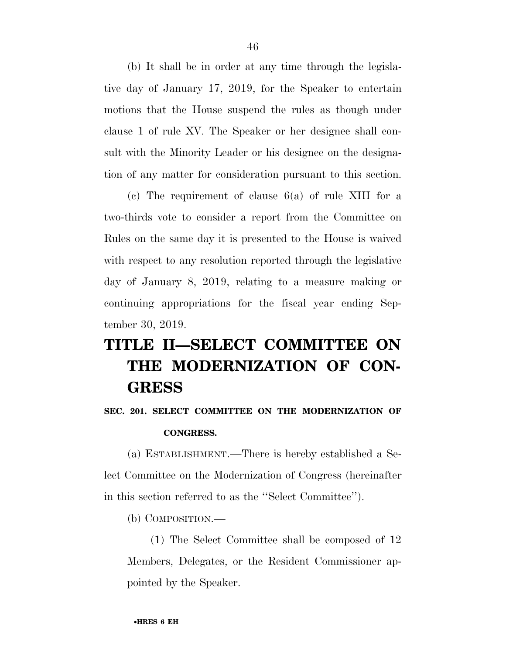(b) It shall be in order at any time through the legislative day of January 17, 2019, for the Speaker to entertain motions that the House suspend the rules as though under clause 1 of rule XV. The Speaker or her designee shall consult with the Minority Leader or his designee on the designation of any matter for consideration pursuant to this section.

(c) The requirement of clause 6(a) of rule XIII for a two-thirds vote to consider a report from the Committee on Rules on the same day it is presented to the House is waived with respect to any resolution reported through the legislative day of January 8, 2019, relating to a measure making or continuing appropriations for the fiscal year ending September 30, 2019.

## **TITLE II—SELECT COMMITTEE ON THE MODERNIZATION OF CON-GRESS**

### **SEC. 201. SELECT COMMITTEE ON THE MODERNIZATION OF CONGRESS.**

(a) ESTABLISHMENT.—There is hereby established a Select Committee on the Modernization of Congress (hereinafter in this section referred to as the ''Select Committee'').

(b) COMPOSITION.—

(1) The Select Committee shall be composed of 12 Members, Delegates, or the Resident Commissioner appointed by the Speaker.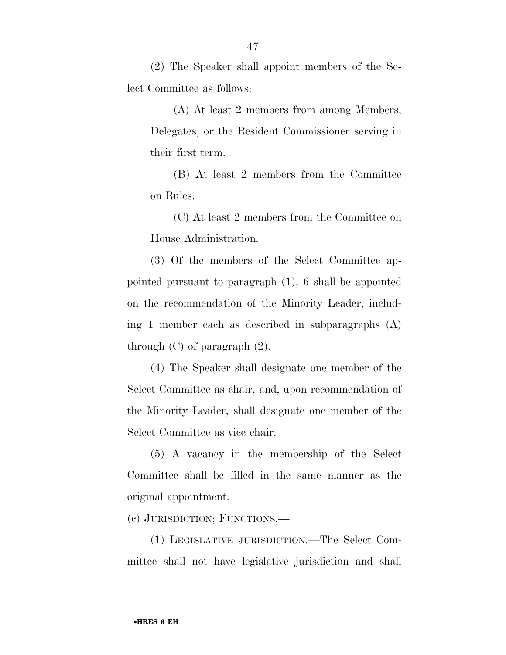(2) The Speaker shall appoint members of the Select Committee as follows:

(A) At least 2 members from among Members, Delegates, or the Resident Commissioner serving in their first term.

(B) At least 2 members from the Committee on Rules.

(C) At least 2 members from the Committee on House Administration.

(3) Of the members of the Select Committee appointed pursuant to paragraph (1), 6 shall be appointed on the recommendation of the Minority Leader, including 1 member each as described in subparagraphs (A) through (C) of paragraph (2).

(4) The Speaker shall designate one member of the Select Committee as chair, and, upon recommendation of the Minority Leader, shall designate one member of the Select Committee as vice chair.

(5) A vacancy in the membership of the Select Committee shall be filled in the same manner as the original appointment.

(c) JURISDICTION; FUNCTIONS.—

(1) LEGISLATIVE JURISDICTION.—The Select Committee shall not have legislative jurisdiction and shall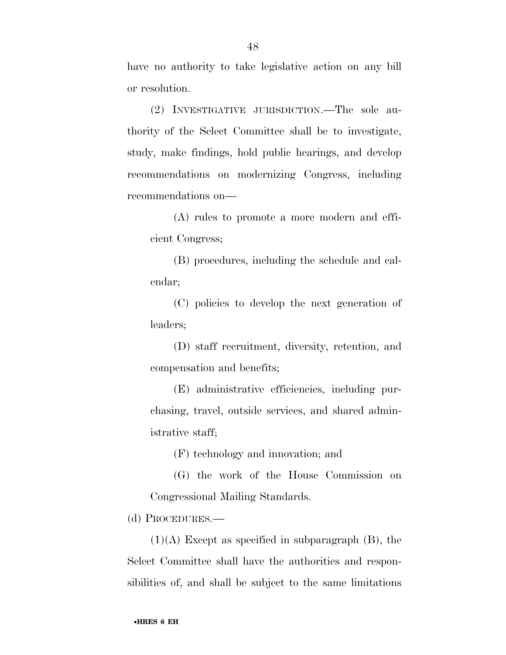have no authority to take legislative action on any bill or resolution.

(2) INVESTIGATIVE JURISDICTION.—The sole authority of the Select Committee shall be to investigate, study, make findings, hold public hearings, and develop recommendations on modernizing Congress, including recommendations on—

(A) rules to promote a more modern and efficient Congress;

(B) procedures, including the schedule and calendar;

(C) policies to develop the next generation of leaders;

(D) staff recruitment, diversity, retention, and compensation and benefits;

(E) administrative efficiencies, including purchasing, travel, outside services, and shared administrative staff;

(F) technology and innovation; and

(G) the work of the House Commission on Congressional Mailing Standards.

(d) PROCEDURES.—

 $(1)(A)$  Except as specified in subparagraph  $(B)$ , the Select Committee shall have the authorities and responsibilities of, and shall be subject to the same limitations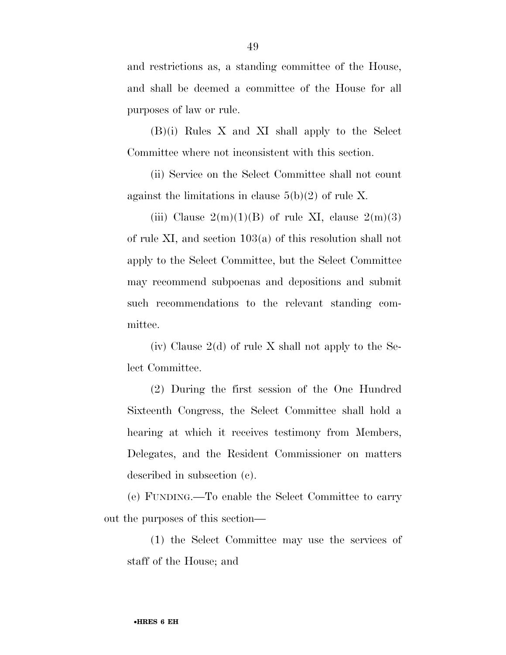and restrictions as, a standing committee of the House, and shall be deemed a committee of the House for all purposes of law or rule.

(B)(i) Rules X and XI shall apply to the Select Committee where not inconsistent with this section.

(ii) Service on the Select Committee shall not count against the limitations in clause  $5(b)(2)$  of rule X.

(iii) Clause  $2(m)(1)(B)$  of rule XI, clause  $2(m)(3)$ of rule XI, and section 103(a) of this resolution shall not apply to the Select Committee, but the Select Committee may recommend subpoenas and depositions and submit such recommendations to the relevant standing committee.

(iv) Clause  $2(d)$  of rule X shall not apply to the Select Committee.

(2) During the first session of the One Hundred Sixteenth Congress, the Select Committee shall hold a hearing at which it receives testimony from Members, Delegates, and the Resident Commissioner on matters described in subsection (c).

(e) FUNDING.—To enable the Select Committee to carry out the purposes of this section—

(1) the Select Committee may use the services of staff of the House; and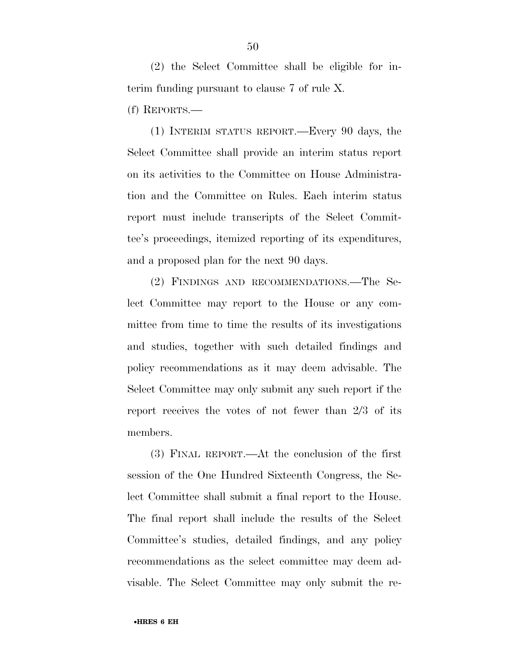(2) the Select Committee shall be eligible for interim funding pursuant to clause 7 of rule X.

(f) REPORTS.—

(1) INTERIM STATUS REPORT.—Every 90 days, the Select Committee shall provide an interim status report on its activities to the Committee on House Administration and the Committee on Rules. Each interim status report must include transcripts of the Select Committee's proceedings, itemized reporting of its expenditures, and a proposed plan for the next 90 days.

(2) FINDINGS AND RECOMMENDATIONS.—The Select Committee may report to the House or any committee from time to time the results of its investigations and studies, together with such detailed findings and policy recommendations as it may deem advisable. The Select Committee may only submit any such report if the report receives the votes of not fewer than 2/3 of its members.

(3) FINAL REPORT.—At the conclusion of the first session of the One Hundred Sixteenth Congress, the Select Committee shall submit a final report to the House. The final report shall include the results of the Select Committee's studies, detailed findings, and any policy recommendations as the select committee may deem advisable. The Select Committee may only submit the re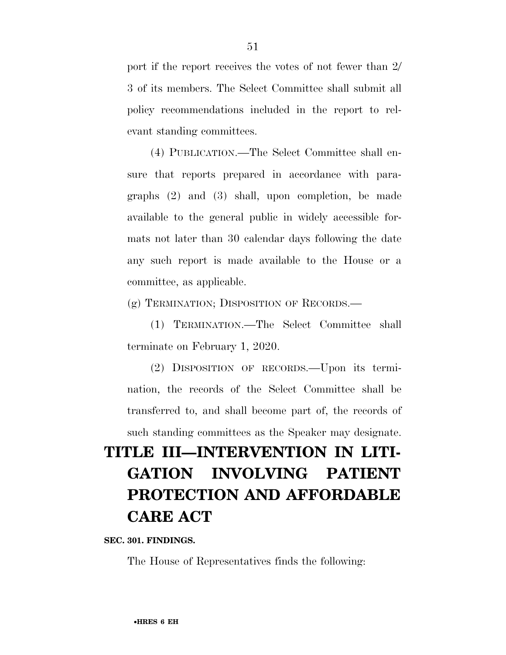port if the report receives the votes of not fewer than 2/ 3 of its members. The Select Committee shall submit all policy recommendations included in the report to relevant standing committees.

(4) PUBLICATION.—The Select Committee shall ensure that reports prepared in accordance with paragraphs (2) and (3) shall, upon completion, be made available to the general public in widely accessible formats not later than 30 calendar days following the date any such report is made available to the House or a committee, as applicable.

(g) TERMINATION; DISPOSITION OF RECORDS.—

(1) TERMINATION.—The Select Committee shall terminate on February 1, 2020.

(2) DISPOSITION OF RECORDS.—Upon its termination, the records of the Select Committee shall be transferred to, and shall become part of, the records of such standing committees as the Speaker may designate.

## **TITLE III—INTERVENTION IN LITI-GATION INVOLVING PATIENT PROTECTION AND AFFORDABLE CARE ACT**

**SEC. 301. FINDINGS.** 

The House of Representatives finds the following: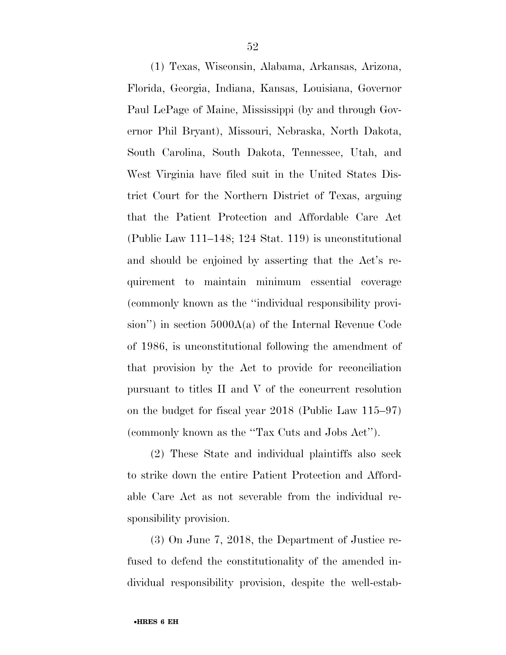(1) Texas, Wisconsin, Alabama, Arkansas, Arizona, Florida, Georgia, Indiana, Kansas, Louisiana, Governor Paul LePage of Maine, Mississippi (by and through Governor Phil Bryant), Missouri, Nebraska, North Dakota, South Carolina, South Dakota, Tennessee, Utah, and West Virginia have filed suit in the United States District Court for the Northern District of Texas, arguing that the Patient Protection and Affordable Care Act (Public Law 111–148; 124 Stat. 119) is unconstitutional and should be enjoined by asserting that the Act's requirement to maintain minimum essential coverage (commonly known as the ''individual responsibility provision'') in section 5000A(a) of the Internal Revenue Code of 1986, is unconstitutional following the amendment of that provision by the Act to provide for reconciliation pursuant to titles II and V of the concurrent resolution on the budget for fiscal year 2018 (Public Law 115–97) (commonly known as the ''Tax Cuts and Jobs Act'').

(2) These State and individual plaintiffs also seek to strike down the entire Patient Protection and Affordable Care Act as not severable from the individual responsibility provision.

(3) On June 7, 2018, the Department of Justice refused to defend the constitutionality of the amended individual responsibility provision, despite the well-estab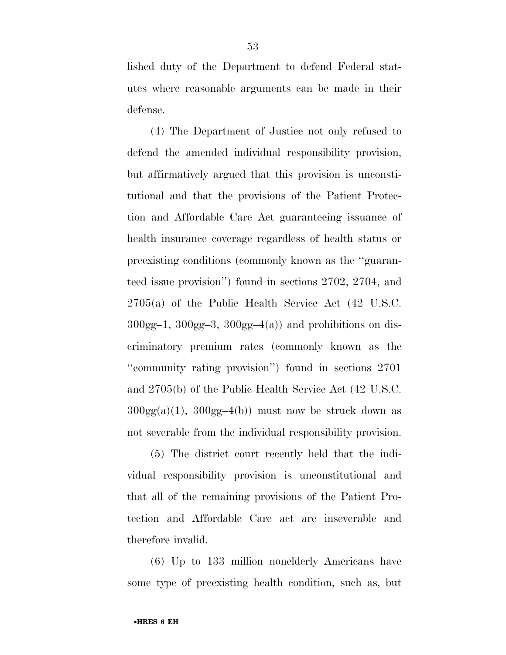lished duty of the Department to defend Federal statutes where reasonable arguments can be made in their defense.

(4) The Department of Justice not only refused to defend the amended individual responsibility provision, but affirmatively argued that this provision is unconstitutional and that the provisions of the Patient Protection and Affordable Care Act guaranteeing issuance of health insurance coverage regardless of health status or preexisting conditions (commonly known as the ''guaranteed issue provision'') found in sections 2702, 2704, and 2705(a) of the Public Health Service Act (42 U.S.C.  $300gg-1$ ,  $300gg-3$ ,  $300gg-4(a)$  and prohibitions on discriminatory premium rates (commonly known as the ''community rating provision'') found in sections 2701 and 2705(b) of the Public Health Service Act (42 U.S.C.  $300gg(a)(1)$ ,  $300gg-4(b)$  must now be struck down as not severable from the individual responsibility provision.

(5) The district court recently held that the individual responsibility provision is unconstitutional and that all of the remaining provisions of the Patient Protection and Affordable Care act are inseverable and therefore invalid.

(6) Up to 133 million nonelderly Americans have some type of preexisting health condition, such as, but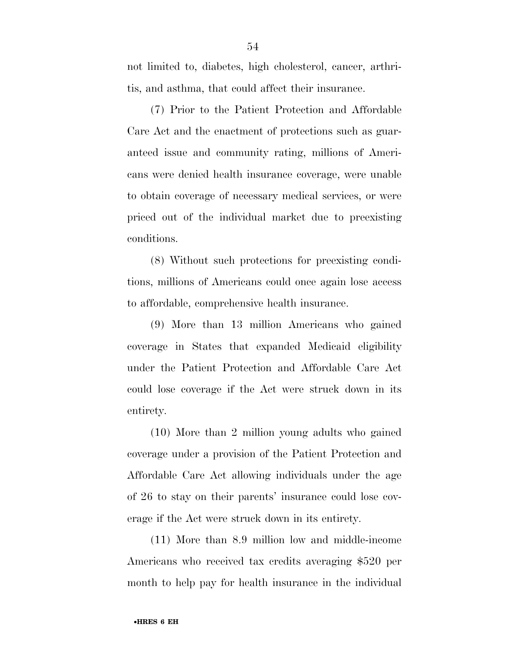not limited to, diabetes, high cholesterol, cancer, arthritis, and asthma, that could affect their insurance.

(7) Prior to the Patient Protection and Affordable Care Act and the enactment of protections such as guaranteed issue and community rating, millions of Americans were denied health insurance coverage, were unable to obtain coverage of necessary medical services, or were priced out of the individual market due to preexisting conditions.

(8) Without such protections for preexisting conditions, millions of Americans could once again lose access to affordable, comprehensive health insurance.

(9) More than 13 million Americans who gained coverage in States that expanded Medicaid eligibility under the Patient Protection and Affordable Care Act could lose coverage if the Act were struck down in its entirety.

(10) More than 2 million young adults who gained coverage under a provision of the Patient Protection and Affordable Care Act allowing individuals under the age of 26 to stay on their parents' insurance could lose coverage if the Act were struck down in its entirety.

(11) More than 8.9 million low and middle-income Americans who received tax credits averaging \$520 per month to help pay for health insurance in the individual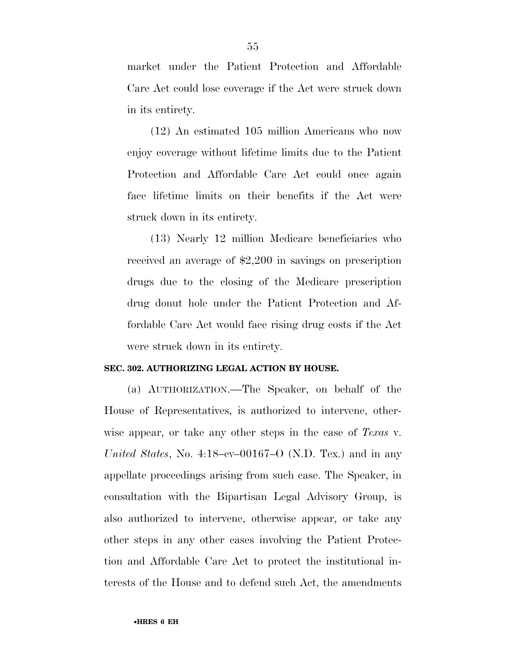market under the Patient Protection and Affordable Care Act could lose coverage if the Act were struck down in its entirety.

(12) An estimated 105 million Americans who now enjoy coverage without lifetime limits due to the Patient Protection and Affordable Care Act could once again face lifetime limits on their benefits if the Act were struck down in its entirety.

(13) Nearly 12 million Medicare beneficiaries who received an average of \$2,200 in savings on prescription drugs due to the closing of the Medicare prescription drug donut hole under the Patient Protection and Affordable Care Act would face rising drug costs if the Act were struck down in its entirety.

#### **SEC. 302. AUTHORIZING LEGAL ACTION BY HOUSE.**

(a) AUTHORIZATION.—The Speaker, on behalf of the House of Representatives, is authorized to intervene, otherwise appear, or take any other steps in the case of *Texas* v. *United States*, No. 4:18–cv–00167–O (N.D. Tex.) and in any appellate proceedings arising from such case. The Speaker, in consultation with the Bipartisan Legal Advisory Group, is also authorized to intervene, otherwise appear, or take any other steps in any other cases involving the Patient Protection and Affordable Care Act to protect the institutional interests of the House and to defend such Act, the amendments